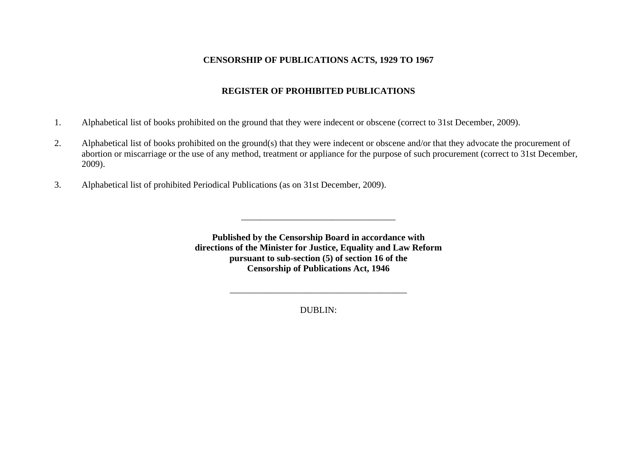### **CENSORSHIP OF PUBLICATIONS ACTS, 1929 TO 1967**

# **REGISTER OF PROHIBITED PUBLICATIONS**

- 1. Alphabetical list of books prohibited on the ground that they were indecent or obscene (correct to 31st December, 2009).
- 2. Alphabetical list of books prohibited on the ground(s) that they were indecent or obscene and/or that they advocate the procurement of abortion or miscarriage or the use of any method, treatment or appliance for the purpose of such procurement (correct to 31st December, 2009).
- 3. Alphabetical list of prohibited Periodical Publications (as on 31st December, 2009).

**Published by the Censorship Board in accordance with directions of the Minister for Justice, Equality and Law Reform pursuant to sub-section (5) of section 16 of the Censorship of Publications Act, 1946** 

 $\overline{\phantom{a}}$  , and the contribution of the contribution of the contribution of the contribution of the contribution of the contribution of the contribution of the contribution of the contribution of the contribution of the

DUBLIN:

\_\_\_\_\_\_\_\_\_\_\_\_\_\_\_\_\_\_\_\_\_\_\_\_\_\_\_\_\_\_\_\_\_\_\_\_\_\_\_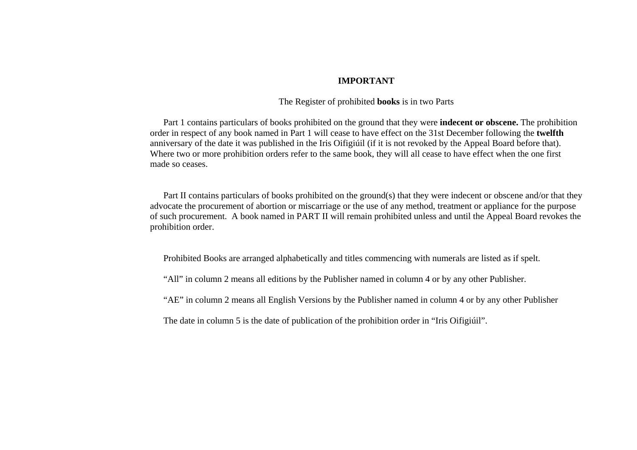### **IMPORTANT**

### The Register of prohibited **books** is in two Parts

 Part 1 contains particulars of books prohibited on the ground that they were **indecent or obscene.** The prohibition order in respect of any book named in Part 1 will cease to have effect on the 31st December following the **twelfth**  anniversary of the date it was published in the Iris Oifigiúil (if it is not revoked by the Appeal Board before that). Where two or more prohibition orders refer to the same book, they will all cease to have effect when the one first made so ceases.

Part II contains particulars of books prohibited on the ground(s) that they were indecent or obscene and/or that they advocate the procurement of abortion or miscarriage or the use of any method, treatment or appliance for the purpose of such procurement. A book named in PART II will remain prohibited unless and until the Appeal Board revokes the prohibition order.

Prohibited Books are arranged alphabetically and titles commencing with numerals are listed as if spelt.

"All" in column 2 means all editions by the Publisher named in column 4 or by any other Publisher.

"AE" in column 2 means all English Versions by the Publisher named in column 4 or by any other Publisher

The date in column 5 is the date of publication of the prohibition order in "Iris Oifigiúil".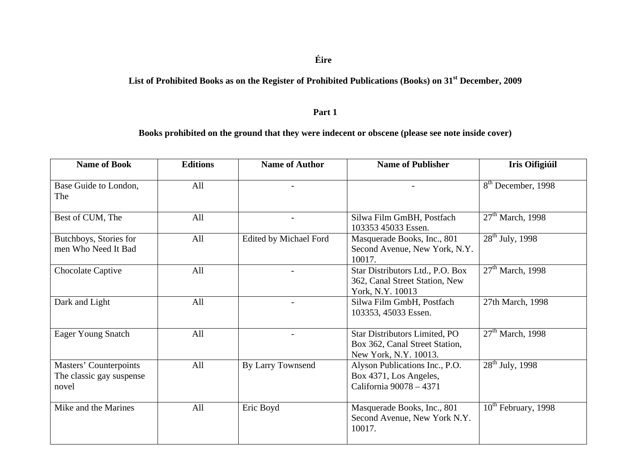### **Éire**

# **List of Prohibited Books as on the Register of Prohibited Publications (Books) on 31st December, 2009**

#### **Part 1**

# **Books prohibited on the ground that they were indecent or obscene (please see note inside cover)**

| <b>Name of Book</b>                                         | <b>Editions</b> | <b>Name of Author</b>  | <b>Name of Publisher</b>                                                                        | <b>Iris Oifigiúil</b>          |
|-------------------------------------------------------------|-----------------|------------------------|-------------------------------------------------------------------------------------------------|--------------------------------|
| Base Guide to London,<br>The                                | All             |                        |                                                                                                 | 8 <sup>th</sup> December, 1998 |
| Best of CUM, The                                            | All             |                        | Silwa Film GmBH, Postfach<br>103353 45033 Essen.                                                | $27th$ March, 1998             |
| Butchboys, Stories for<br>men Who Need It Bad               | All             | Edited by Michael Ford | Masquerade Books, Inc., 801<br>Second Avenue, New York, N.Y.<br>10017.                          | $28^{th}$ July, 1998           |
| Chocolate Captive                                           | All             |                        | Star Distributors Ltd., P.O. Box<br>362, Canal Street Station, New<br>York, N.Y. 10013          | $27th$ March, 1998             |
| Dark and Light                                              | All             |                        | Silwa Film GmbH, Postfach<br>103353, 45033 Essen.                                               | 27th March, 1998               |
| <b>Eager Young Snatch</b>                                   | All             |                        | <b>Star Distributors Limited, PO</b><br>Box 362, Canal Street Station,<br>New York, N.Y. 10013. | $27th$ March, 1998             |
| Masters' Counterpoints<br>The classic gay suspense<br>novel | All             | By Larry Townsend      | Alyson Publications Inc., P.O.<br>Box 4371, Los Angeles,<br>California 90078 - 4371             | $28^{th}$ July, 1998           |
| Mike and the Marines                                        | All             | Eric Boyd              | Masquerade Books, Inc., 801<br>Second Avenue, New York N.Y.<br>10017.                           | $10^{th}$ February, 1998       |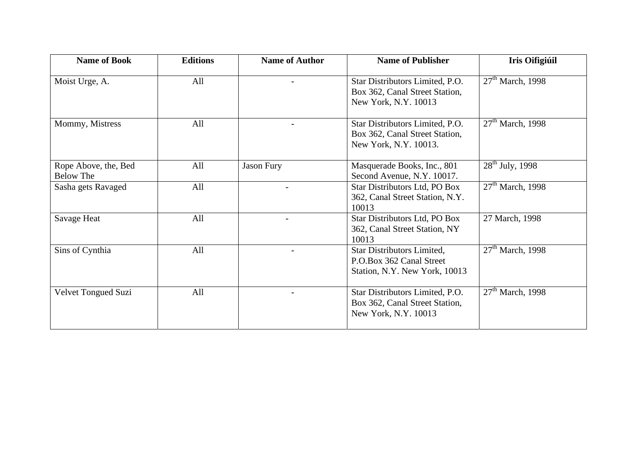| <b>Name of Book</b>                      | <b>Editions</b> | <b>Name of Author</b> | <b>Name of Publisher</b>                                                                   | <b>Iris Oifigiúil</b> |
|------------------------------------------|-----------------|-----------------------|--------------------------------------------------------------------------------------------|-----------------------|
| Moist Urge, A.                           | All             |                       | Star Distributors Limited, P.O.<br>Box 362, Canal Street Station,<br>New York, N.Y. 10013  | $27th$ March, 1998    |
| Mommy, Mistress                          | All             |                       | Star Distributors Limited, P.O.<br>Box 362, Canal Street Station,<br>New York, N.Y. 10013. | $27th$ March, 1998    |
| Rope Above, the, Bed<br><b>Below The</b> | All             | <b>Jason Fury</b>     | Masquerade Books, Inc., 801<br>Second Avenue, N.Y. 10017.                                  | $28^{th}$ July, 1998  |
| Sasha gets Ravaged                       | All             |                       | Star Distributors Ltd, PO Box<br>362, Canal Street Station, N.Y.<br>10013                  | $27th$ March, 1998    |
| Savage Heat                              | All             |                       | Star Distributors Ltd, PO Box<br>362, Canal Street Station, NY<br>10013                    | 27 March, 1998        |
| Sins of Cynthia                          | All             |                       | Star Distributors Limited,<br>P.O.Box 362 Canal Street<br>Station, N.Y. New York, 10013    | $27th$ March, 1998    |
| Velvet Tongued Suzi                      | All             |                       | Star Distributors Limited, P.O.<br>Box 362, Canal Street Station,<br>New York, N.Y. 10013  | $27th$ March, 1998    |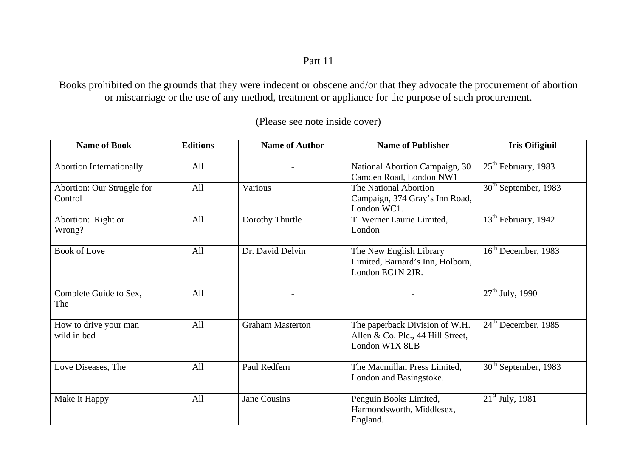Part 11

Books prohibited on the grounds that they were indecent or obscene and/or that they advocate the procurement of abortion or miscarriage or the use of any method, treatment or appliance for the purpose of such procurement.

| <b>Name of Book</b>                   | <b>Editions</b> | <b>Name of Author</b>   | <b>Name of Publisher</b>                                                              | <b>Iris Oifigiuil</b>       |
|---------------------------------------|-----------------|-------------------------|---------------------------------------------------------------------------------------|-----------------------------|
| <b>Abortion Internationally</b>       | All             |                         | National Abortion Campaign, 30<br>Camden Road, London NW1                             | $25th$ February, 1983       |
| Abortion: Our Struggle for<br>Control | All             | Various                 | The National Abortion<br>Campaign, 374 Gray's Inn Road,<br>London WC1.                | $30th$ September, 1983      |
| Abortion: Right or<br>Wrong?          | All             | Dorothy Thurtle         | T. Werner Laurie Limited,<br>London                                                   | $13th$ February, 1942       |
| <b>Book of Love</b>                   | All             | Dr. David Delvin        | The New English Library<br>Limited, Barnard's Inn, Holborn,<br>London EC1N 2JR.       | $16th$ December, 1983       |
| Complete Guide to Sex,<br>The         | All             |                         |                                                                                       | $27^{\text{th}}$ July, 1990 |
| How to drive your man<br>wild in bed  | All             | <b>Graham Masterton</b> | The paperback Division of W.H.<br>Allen & Co. Plc., 44 Hill Street,<br>London W1X 8LB | $24th$ December, 1985       |
| Love Diseases, The                    | All             | Paul Redfern            | The Macmillan Press Limited,<br>London and Basingstoke.                               | $30th$ September, 1983      |
| Make it Happy                         | All             | <b>Jane Cousins</b>     | Penguin Books Limited,<br>Harmondsworth, Middlesex,<br>England.                       | $21st$ July, 1981           |

(Please see note inside cover)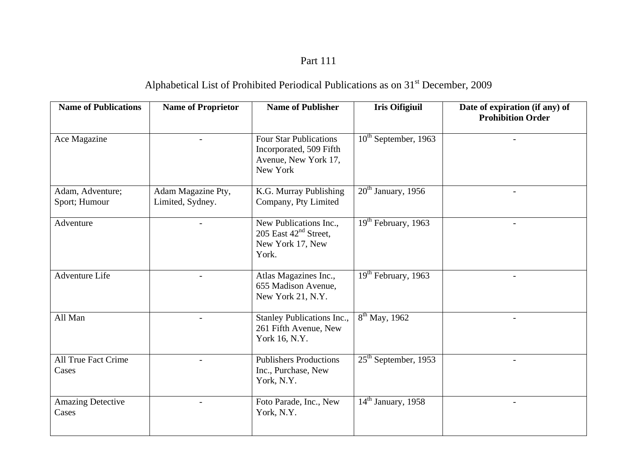# Part 111

# Alphabetical List of Prohibited Periodical Publications as on 31<sup>st</sup> December, 2009

| <b>Name of Publications</b>         | <b>Name of Proprietor</b>              | <b>Name of Publisher</b>                                                                     | <b>Iris Oifigiuil</b>     | Date of expiration (if any) of<br><b>Prohibition Order</b> |
|-------------------------------------|----------------------------------------|----------------------------------------------------------------------------------------------|---------------------------|------------------------------------------------------------|
| Ace Magazine                        |                                        | <b>Four Star Publications</b><br>Incorporated, 509 Fifth<br>Avenue, New York 17,<br>New York | $10^{th}$ September, 1963 |                                                            |
| Adam, Adventure;<br>Sport; Humour   | Adam Magazine Pty,<br>Limited, Sydney. | K.G. Murray Publishing<br>Company, Pty Limited                                               | $20th$ January, 1956      | $\overline{a}$                                             |
| Adventure                           |                                        | New Publications Inc.,<br>205 East $42nd$ Street,<br>New York 17, New<br>York.               | $19th$ February, 1963     |                                                            |
| Adventure Life                      |                                        | Atlas Magazines Inc.,<br>655 Madison Avenue,<br>New York 21, N.Y.                            | $19th$ February, 1963     |                                                            |
| All Man                             |                                        | Stanley Publications Inc.,<br>261 Fifth Avenue, New<br>York 16, N.Y.                         | $8^{th}$ May, 1962        |                                                            |
| <b>All True Fact Crime</b><br>Cases |                                        | <b>Publishers Productions</b><br>Inc., Purchase, New<br>York, N.Y.                           | $25th$ September, 1953    |                                                            |
| <b>Amazing Detective</b><br>Cases   |                                        | Foto Parade, Inc., New<br>York, N.Y.                                                         | $14th$ January, 1958      |                                                            |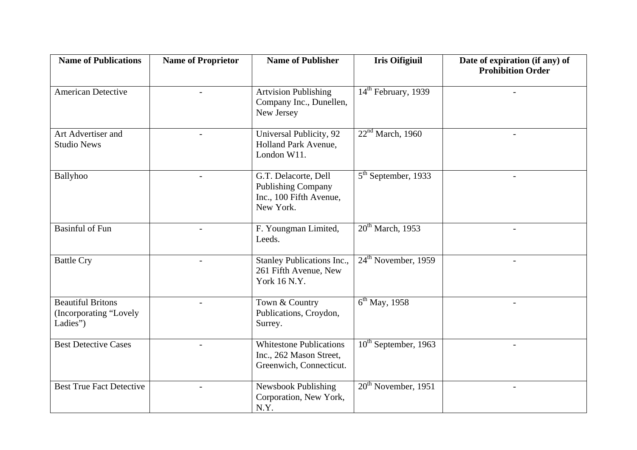| <b>Name of Publications</b>                                    | <b>Name of Proprietor</b> | <b>Name of Publisher</b>                                                                  | <b>Iris Oifigiuil</b>         | Date of expiration (if any) of<br><b>Prohibition Order</b> |
|----------------------------------------------------------------|---------------------------|-------------------------------------------------------------------------------------------|-------------------------------|------------------------------------------------------------|
| <b>American Detective</b>                                      |                           | <b>Artvision Publishing</b><br>Company Inc., Dunellen,<br>New Jersey                      | $14th$ February, 1939         |                                                            |
| Art Advertiser and<br><b>Studio News</b>                       |                           | Universal Publicity, 92<br>Holland Park Avenue,<br>London W11.                            | 22 <sup>nd</sup> March, 1960  |                                                            |
| Ballyhoo                                                       |                           | G.T. Delacorte, Dell<br><b>Publishing Company</b><br>Inc., 100 Fifth Avenue,<br>New York. | $5th$ September, 1933         | $\sim$                                                     |
| <b>Basinful of Fun</b>                                         | $\overline{a}$            | F. Youngman Limited,<br>Leeds.                                                            | 20 <sup>th</sup> March, 1953  | $\blacksquare$                                             |
| <b>Battle Cry</b>                                              |                           | Stanley Publications Inc.,<br>261 Fifth Avenue, New<br>York 16 N.Y.                       | $24th$ November, 1959         |                                                            |
| <b>Beautiful Britons</b><br>(Incorporating "Lovely<br>Ladies") |                           | Town & Country<br>Publications, Croydon,<br>Surrey.                                       | $\overline{6^{th}}$ May, 1958 |                                                            |
| <b>Best Detective Cases</b>                                    |                           | <b>Whitestone Publications</b><br>Inc., 262 Mason Street,<br>Greenwich, Connecticut.      | $10^{th}$ September, 1963     | $\sim$                                                     |
| <b>Best True Fact Detective</b>                                |                           | Newsbook Publishing<br>Corporation, New York,<br>N.Y.                                     | $20th$ November, 1951         | $\overline{\phantom{a}}$                                   |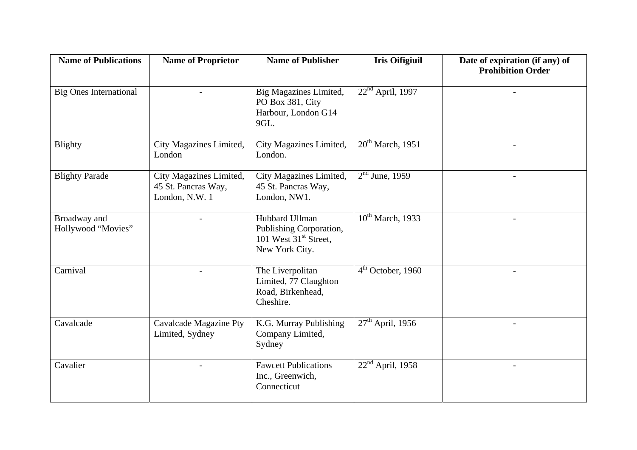| <b>Name of Publications</b>        | <b>Name of Proprietor</b>                                        | <b>Name of Publisher</b>                                                               | <b>Iris Oifigiuil</b>        | Date of expiration (if any) of<br><b>Prohibition Order</b> |
|------------------------------------|------------------------------------------------------------------|----------------------------------------------------------------------------------------|------------------------------|------------------------------------------------------------|
| <b>Big Ones International</b>      |                                                                  | Big Magazines Limited,<br>PO Box 381, City<br>Harbour, London G14<br>9GL.              | $22nd$ April, 1997           |                                                            |
| <b>Blighty</b>                     | City Magazines Limited,<br>London                                | City Magazines Limited,<br>London.                                                     | 20 <sup>th</sup> March, 1951 |                                                            |
| <b>Blighty Parade</b>              | City Magazines Limited,<br>45 St. Pancras Way,<br>London, N.W. 1 | City Magazines Limited,<br>45 St. Pancras Way,<br>London, NW1.                         | $2nd$ June, 1959             | $\overline{\phantom{a}}$                                   |
| Broadway and<br>Hollywood "Movies" |                                                                  | Hubbard Ullman<br>Publishing Corporation,<br>101 West $31st$ Street,<br>New York City. | $10^{th}$ March, 1933        |                                                            |
| Carnival                           |                                                                  | The Liverpolitan<br>Limited, 77 Claughton<br>Road, Birkenhead,<br>Cheshire.            | $4th$ October, 1960          |                                                            |
| Cavalcade                          | <b>Cavalcade Magazine Pty</b><br>Limited, Sydney                 | K.G. Murray Publishing<br>Company Limited,<br>Sydney                                   | $27th$ April, 1956           |                                                            |
| Cavalier                           |                                                                  | <b>Fawcett Publications</b><br>Inc., Greenwich,<br>Connecticut                         | $22nd$ April, 1958           |                                                            |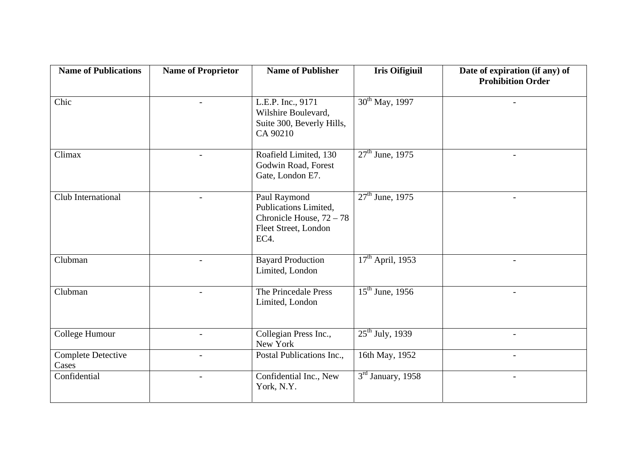| <b>Name of Publications</b>        | <b>Name of Proprietor</b> | <b>Name of Publisher</b>                                                                            | <b>Iris Oifigiuil</b>       | Date of expiration (if any) of<br><b>Prohibition Order</b> |
|------------------------------------|---------------------------|-----------------------------------------------------------------------------------------------------|-----------------------------|------------------------------------------------------------|
| Chic                               | $\overline{\phantom{a}}$  | L.E.P. Inc., 9171<br>Wilshire Boulevard,<br>Suite 300, Beverly Hills,<br>CA 90210                   | $30^{th}$ May, 1997         |                                                            |
| Climax                             |                           | Roafield Limited, 130<br>Godwin Road, Forest<br>Gate, London E7.                                    | $27^{\text{th}}$ June, 1975 | $\blacksquare$                                             |
| Club International                 | $\overline{\phantom{a}}$  | Paul Raymond<br>Publications Limited,<br>Chronicle House, $72 - 78$<br>Fleet Street, London<br>EC4. | $27th$ June, 1975           | $\overline{\phantom{a}}$                                   |
| Clubman                            | $\overline{\phantom{a}}$  | <b>Bayard Production</b><br>Limited, London                                                         | $17th$ April, 1953          | $\overline{\phantom{a}}$                                   |
| Clubman                            | $\blacksquare$            | The Princedale Press<br>Limited, London                                                             | $15^{th}$ June, 1956        | $\overline{\phantom{a}}$                                   |
| College Humour                     | $\overline{a}$            | Collegian Press Inc.,<br>New York                                                                   | $25th$ July, 1939           | $\sim$                                                     |
| <b>Complete Detective</b><br>Cases | $\overline{\phantom{0}}$  | Postal Publications Inc.,                                                                           | 16th May, 1952              | $\overline{\phantom{a}}$                                   |
| Confidential                       |                           | Confidential Inc., New<br>York, N.Y.                                                                | $3rd$ January, 1958         | $\overline{\phantom{a}}$                                   |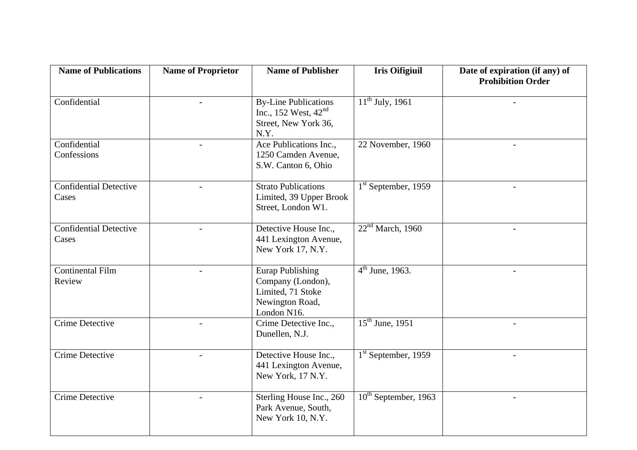| <b>Name of Publications</b>            | <b>Name of Proprietor</b> | <b>Name of Publisher</b>                                                                            | <b>Iris Oifigiuil</b>     | Date of expiration (if any) of<br><b>Prohibition Order</b> |
|----------------------------------------|---------------------------|-----------------------------------------------------------------------------------------------------|---------------------------|------------------------------------------------------------|
| Confidential                           |                           | <b>By-Line Publications</b><br>Inc., 152 West, $42nd$<br>Street, New York 36,<br>N.Y.               | $11^{th}$ July, 1961      |                                                            |
| Confidential<br>Confessions            | $\blacksquare$            | Ace Publications Inc.,<br>1250 Camden Avenue,<br>S.W. Canton 6, Ohio                                | 22 November, 1960         | $\overline{\phantom{a}}$                                   |
| <b>Confidential Detective</b><br>Cases |                           | <b>Strato Publications</b><br>Limited, 39 Upper Brook<br>Street, London W1.                         | $1st$ September, 1959     |                                                            |
| <b>Confidential Detective</b><br>Cases |                           | Detective House Inc.,<br>441 Lexington Avenue,<br>New York 17, N.Y.                                 | $22nd$ March, 1960        | $\overline{\phantom{a}}$                                   |
| <b>Continental Film</b><br>Review      |                           | <b>Eurap Publishing</b><br>Company (London),<br>Limited, 71 Stoke<br>Newington Road,<br>London N16. | $4^{th}$ June, 1963.      |                                                            |
| <b>Crime Detective</b>                 |                           | Crime Detective Inc.,<br>Dunellen, N.J.                                                             | $15^{th}$ June, 1951      |                                                            |
| <b>Crime Detective</b>                 |                           | Detective House Inc.,<br>441 Lexington Avenue,<br>New York, 17 N.Y.                                 | $1st$ September, 1959     |                                                            |
| <b>Crime Detective</b>                 | $\overline{\phantom{a}}$  | Sterling House Inc., 260<br>Park Avenue, South,<br>New York 10, N.Y.                                | $10^{th}$ September, 1963 | $-$                                                        |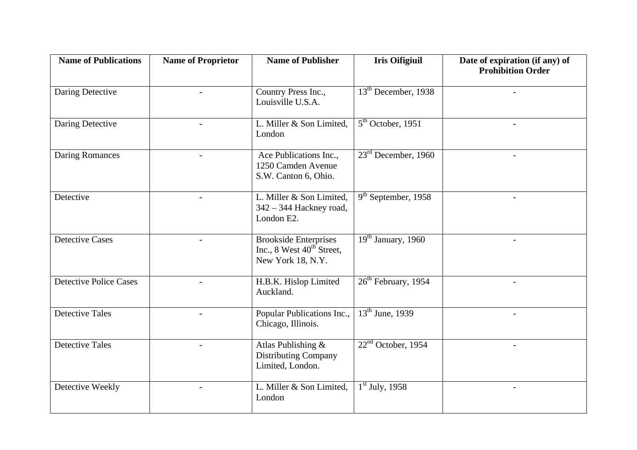| <b>Name of Publications</b>   | <b>Name of Proprietor</b> | <b>Name of Publisher</b>                                                                   | <b>Iris Oifigiuil</b>               | Date of expiration (if any) of<br><b>Prohibition Order</b> |
|-------------------------------|---------------------------|--------------------------------------------------------------------------------------------|-------------------------------------|------------------------------------------------------------|
| Daring Detective              |                           | Country Press Inc.,<br>Louisville U.S.A.                                                   | $13th$ December, 1938               |                                                            |
| Daring Detective              | $\overline{\phantom{a}}$  | L. Miller & Son Limited,<br>London                                                         | $5th$ October, 1951                 | $\overline{\phantom{a}}$                                   |
| <b>Daring Romances</b>        |                           | Ace Publications Inc.,<br>1250 Camden Avenue<br>S.W. Canton 6, Ohio.                       | $23rd$ December, 1960               |                                                            |
| Detective                     |                           | L. Miller & Son Limited,<br>342 - 344 Hackney road,<br>London E2.                          | $\overline{9^{th}}$ September, 1958 |                                                            |
| <b>Detective Cases</b>        |                           | <b>Brookside Enterprises</b><br>Inc., 8 West $40^{\text{th}}$ Street,<br>New York 18, N.Y. | $19th$ January, 1960                |                                                            |
| <b>Detective Police Cases</b> |                           | H.B.K. Hislop Limited<br>Auckland.                                                         | $26th$ February, 1954               | $\overline{\phantom{0}}$                                   |
| <b>Detective Tales</b>        |                           | Popular Publications Inc.,<br>Chicago, Illinois.                                           | $13th$ June, 1939                   |                                                            |
| <b>Detective Tales</b>        | $\overline{a}$            | Atlas Publishing &<br><b>Distributing Company</b><br>Limited, London.                      | $22nd$ October, 1954                | $\overline{\phantom{0}}$                                   |
| Detective Weekly              |                           | L. Miller & Son Limited,<br>London                                                         | $1st$ July, 1958                    | $\overline{\phantom{0}}$                                   |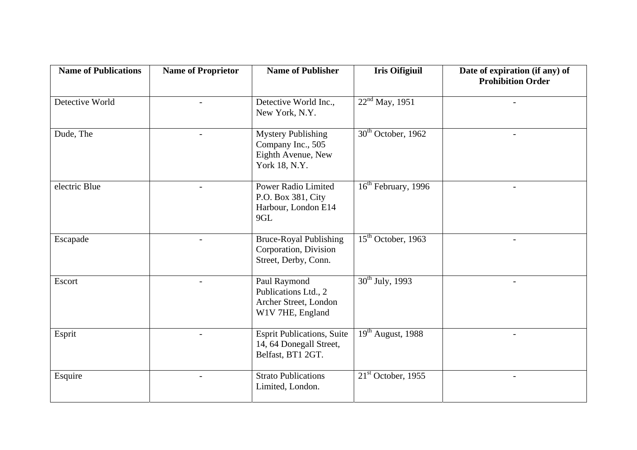| <b>Name of Publications</b> | <b>Name of Proprietor</b> | <b>Name of Publisher</b>                                                              | <b>Iris Oifigiuil</b>                        | Date of expiration (if any) of<br><b>Prohibition Order</b> |
|-----------------------------|---------------------------|---------------------------------------------------------------------------------------|----------------------------------------------|------------------------------------------------------------|
| Detective World             | $\overline{a}$            | Detective World Inc.,<br>New York, N.Y.                                               | $22nd$ May, 1951                             |                                                            |
| Dude, The                   | $\overline{a}$            | <b>Mystery Publishing</b><br>Company Inc., 505<br>Eighth Avenue, New<br>York 18, N.Y. | $30th$ October, 1962                         | $\overline{\phantom{0}}$                                   |
| electric Blue               |                           | <b>Power Radio Limited</b><br>P.O. Box 381, City<br>Harbour, London E14<br>9GL        | $\overline{16}$ <sup>th</sup> February, 1996 |                                                            |
| Escapade                    |                           | <b>Bruce-Royal Publishing</b><br>Corporation, Division<br>Street, Derby, Conn.        | $15th$ October, 1963                         |                                                            |
| Escort                      | $\overline{a}$            | Paul Raymond<br>Publications Ltd., 2<br>Archer Street, London<br>W1V 7HE, England     | $\overline{30^{th}}$ July, 1993              | $\blacksquare$                                             |
| Esprit                      |                           | <b>Esprit Publications, Suite</b><br>14, 64 Donegall Street,<br>Belfast, BT1 2GT.     | $\overline{19}$ <sup>th</sup> August, 1988   |                                                            |
| Esquire                     |                           | <b>Strato Publications</b><br>Limited, London.                                        | $21st$ October, 1955                         | $\overline{\phantom{a}}$                                   |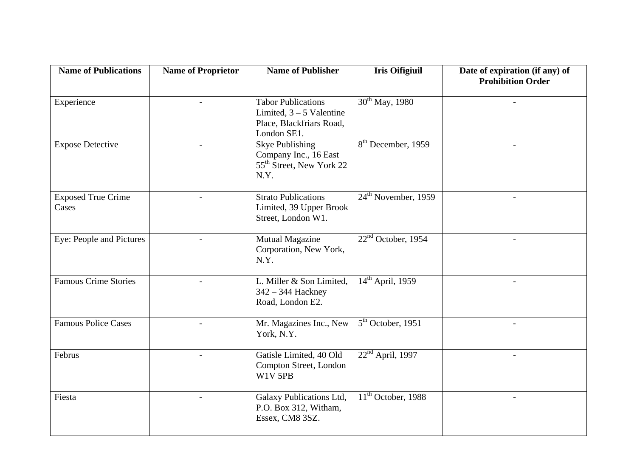| <b>Name of Publications</b>        | <b>Name of Proprietor</b> | <b>Name of Publisher</b>                                                                           | <b>Iris Oifigiuil</b>           | Date of expiration (if any) of<br><b>Prohibition Order</b> |
|------------------------------------|---------------------------|----------------------------------------------------------------------------------------------------|---------------------------------|------------------------------------------------------------|
| Experience                         |                           | <b>Tabor Publications</b><br>Limited, $3 - 5$ Valentine<br>Place, Blackfriars Road,<br>London SE1. | $30^{th}$ May, 1980             |                                                            |
| <b>Expose Detective</b>            | $\blacksquare$            | <b>Skye Publishing</b><br>Company Inc., 16 East<br>55 <sup>th</sup> Street, New York 22<br>N.Y.    | $8th$ December, 1959            | $\overline{\phantom{a}}$                                   |
| <b>Exposed True Crime</b><br>Cases |                           | <b>Strato Publications</b><br>Limited, 39 Upper Brook<br>Street, London W1.                        | 24 <sup>th</sup> November, 1959 |                                                            |
| Eye: People and Pictures           | $\blacksquare$            | Mutual Magazine<br>Corporation, New York,<br>N.Y.                                                  | $22nd$ October, 1954            | $\equiv$                                                   |
| <b>Famous Crime Stories</b>        |                           | L. Miller & Son Limited,<br>342 - 344 Hackney<br>Road, London E2.                                  | $14th$ April, 1959              | $\overline{\phantom{a}}$                                   |
| <b>Famous Police Cases</b>         | $\overline{a}$            | Mr. Magazines Inc., New<br>York, N.Y.                                                              | $5th$ October, 1951             | $\blacksquare$                                             |
| Februs                             |                           | Gatisle Limited, 40 Old<br>Compton Street, London<br>W1V 5PB                                       | $22nd$ April, 1997              |                                                            |
| Fiesta                             |                           | Galaxy Publications Ltd,<br>P.O. Box 312, Witham,<br>Essex, CM8 3SZ.                               | $11th$ October, 1988            | $\overline{\phantom{a}}$                                   |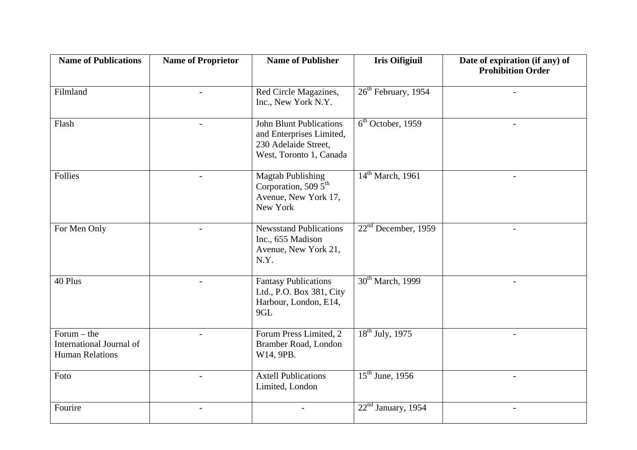| <b>Name of Publications</b>                                         | <b>Name of Proprietor</b> | <b>Name of Publisher</b>                                                                                      | <b>Iris Oifigiuil</b>           | Date of expiration (if any) of<br><b>Prohibition Order</b> |
|---------------------------------------------------------------------|---------------------------|---------------------------------------------------------------------------------------------------------------|---------------------------------|------------------------------------------------------------|
| Filmland                                                            | $\overline{a}$            | Red Circle Magazines,<br>Inc., New York N.Y.                                                                  | 26 <sup>th</sup> February, 1954 |                                                            |
| Flash                                                               |                           | <b>John Blunt Publications</b><br>and Enterprises Limited,<br>230 Adelaide Street,<br>West, Toronto 1, Canada | 6 <sup>th</sup> October, 1959   |                                                            |
| <b>Follies</b>                                                      |                           | Magtab Publishing<br>Corporation, 509 $\bar{5}^{\text{th}}$<br>Avenue, New York 17,<br>New York               | $14th$ March, 1961              |                                                            |
| For Men Only                                                        | $\overline{a}$            | <b>Newsstand Publications</b><br>Inc., 655 Madison<br>Avenue, New York 21,<br>N.Y.                            | $22nd$ December, 1959           | $\overline{\phantom{a}}$                                   |
| 40 Plus                                                             | $\overline{a}$            | <b>Fantasy Publications</b><br>Ltd., P.O. Box 381, City<br>Harbour, London, E14,<br>9GL                       | 30 <sup>th</sup> March, 1999    | $\overline{\phantom{a}}$                                   |
| Forum $-$ the<br>International Journal of<br><b>Human Relations</b> |                           | Forum Press Limited, 2<br>Bramber Road, London<br>W14, 9PB.                                                   | $18th$ July, 1975               |                                                            |
| Foto                                                                | $\overline{\phantom{a}}$  | <b>Axtell Publications</b><br>Limited, London                                                                 | $15th$ June, 1956               | $\overline{\phantom{a}}$                                   |
| Fourire                                                             |                           |                                                                                                               | $22nd$ January, 1954            | $\overline{a}$                                             |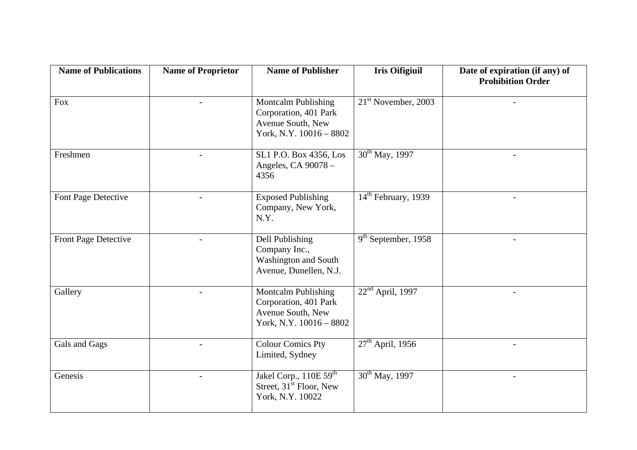| <b>Name of Publications</b> | <b>Name of Proprietor</b> | <b>Name of Publisher</b>                                                                            | <b>Iris Oifigiuil</b> | Date of expiration (if any) of<br><b>Prohibition Order</b> |
|-----------------------------|---------------------------|-----------------------------------------------------------------------------------------------------|-----------------------|------------------------------------------------------------|
| Fox                         |                           | <b>Montcalm Publishing</b><br>Corporation, 401 Park<br>Avenue South, New<br>York, N.Y. 10016 - 8802 | $21st$ November, 2003 |                                                            |
| Freshmen                    |                           | SL1 P.O. Box 4356, Los<br>Angeles, CA 90078 -<br>4356                                               | $30^{th}$ May, 1997   |                                                            |
| Font Page Detective         |                           | <b>Exposed Publishing</b><br>Company, New York,<br>N.Y.                                             | $14th$ February, 1939 | $\overline{a}$                                             |
| Front Page Detective        |                           | Dell Publishing<br>Company Inc.,<br>Washington and South<br>Avenue, Dunellen, N.J.                  | $9th$ September, 1958 |                                                            |
| Gallery                     |                           | <b>Montcalm Publishing</b><br>Corporation, 401 Park<br>Avenue South, New<br>York, N.Y. 10016 - 8802 | $22nd$ April, 1997    |                                                            |
| Gals and Gags               |                           | <b>Colour Comics Pty</b><br>Limited, Sydney                                                         | $27th$ April, 1956    | $\overline{\phantom{a}}$                                   |
| Genesis                     |                           | Jakel Corp., 110E 59 <sup>th</sup><br>Street, 31 <sup>st</sup> Floor, New<br>York, N.Y. 10022       | $30^{th}$ May, 1997   |                                                            |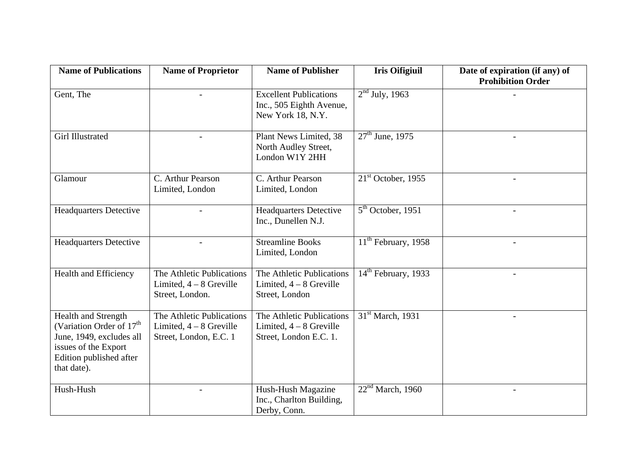| <b>Name of Publications</b>                                                                                                                               | <b>Name of Proprietor</b>                                                        | <b>Name of Publisher</b>                                                         | <b>Iris Oifigiuil</b>                      | Date of expiration (if any) of<br><b>Prohibition Order</b> |
|-----------------------------------------------------------------------------------------------------------------------------------------------------------|----------------------------------------------------------------------------------|----------------------------------------------------------------------------------|--------------------------------------------|------------------------------------------------------------|
| Gent, The                                                                                                                                                 |                                                                                  | <b>Excellent Publications</b><br>Inc., 505 Eighth Avenue,<br>New York 18, N.Y.   | $2nd$ July, 1963                           |                                                            |
| <b>Girl Illustrated</b>                                                                                                                                   |                                                                                  | Plant News Limited, 38<br>North Audley Street,<br>London W1Y 2HH                 | $27th$ June, 1975                          | $\blacksquare$                                             |
| Glamour                                                                                                                                                   | C. Arthur Pearson<br>Limited, London                                             | C. Arthur Pearson<br>Limited, London                                             | $21st$ October, 1955                       |                                                            |
| <b>Headquarters Detective</b>                                                                                                                             |                                                                                  | <b>Headquarters Detective</b><br>Inc., Dunellen N.J.                             | $5th$ October, 1951                        | $\blacksquare$                                             |
| <b>Headquarters Detective</b>                                                                                                                             |                                                                                  | <b>Streamline Books</b><br>Limited, London                                       | $\overline{11}^{\text{th}}$ February, 1958 |                                                            |
| <b>Health and Efficiency</b>                                                                                                                              | The Athletic Publications<br>Limited, $4 - 8$ Greville<br>Street, London.        | The Athletic Publications<br>Limited, $4 - 8$ Greville<br>Street, London         | $14th$ February, 1933                      |                                                            |
| Health and Strength<br>(Variation Order of 17 <sup>th</sup><br>June, 1949, excludes all<br>issues of the Export<br>Edition published after<br>that date). | The Athletic Publications<br>Limited, $4 - 8$ Greville<br>Street, London, E.C. 1 | The Athletic Publications<br>Limited, $4 - 8$ Greville<br>Street, London E.C. 1. | 31 <sup>st</sup> March, 1931               |                                                            |
| Hush-Hush                                                                                                                                                 |                                                                                  | Hush-Hush Magazine<br>Inc., Charlton Building,<br>Derby, Conn.                   | 22 <sup>nd</sup> March, 1960               | $\overline{\phantom{a}}$                                   |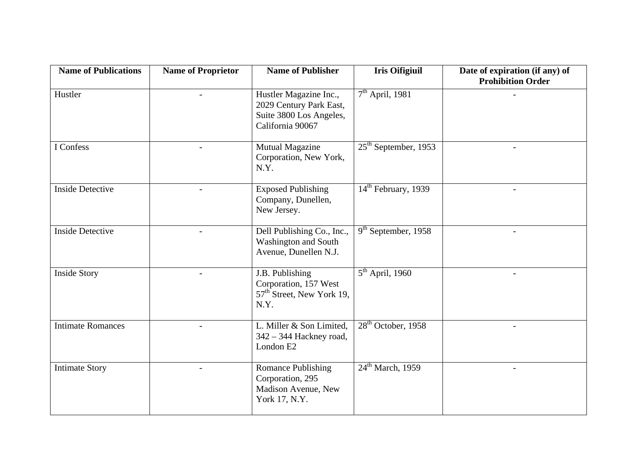| <b>Name of Publications</b> | <b>Name of Proprietor</b> | <b>Name of Publisher</b>                                                                         | <b>Iris Oifigiuil</b>               | Date of expiration (if any) of<br><b>Prohibition Order</b> |
|-----------------------------|---------------------------|--------------------------------------------------------------------------------------------------|-------------------------------------|------------------------------------------------------------|
| Hustler                     |                           | Hustler Magazine Inc.,<br>2029 Century Park East,<br>Suite 3800 Los Angeles,<br>California 90067 | $7th$ April, 1981                   |                                                            |
| I Confess                   |                           | Mutual Magazine<br>Corporation, New York,<br>N.Y.                                                | $25th$ September, 1953              |                                                            |
| <b>Inside Detective</b>     |                           | <b>Exposed Publishing</b><br>Company, Dunellen,<br>New Jersey.                                   | $14th$ February, 1939               |                                                            |
| <b>Inside Detective</b>     |                           | Dell Publishing Co., Inc.,<br><b>Washington and South</b><br>Avenue, Dunellen N.J.               | $\overline{9^{th}}$ September, 1958 |                                                            |
| <b>Inside Story</b>         |                           | J.B. Publishing<br>Corporation, 157 West<br>57 <sup>th</sup> Street, New York 19,<br>N.Y.        | $5th$ April, 1960                   |                                                            |
| <b>Intimate Romances</b>    |                           | L. Miller & Son Limited,<br>342 - 344 Hackney road,<br>London E2                                 | $28th$ October, 1958                |                                                            |
| <b>Intimate Story</b>       |                           | Romance Publishing<br>Corporation, 295<br>Madison Avenue, New<br>York 17, N.Y.                   | $24th$ March, 1959                  |                                                            |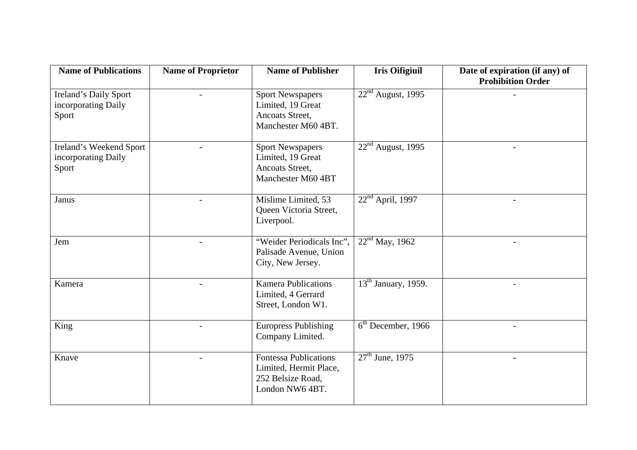| <b>Name of Publications</b>                             | <b>Name of Proprietor</b> | <b>Name of Publisher</b>                                                                       | <b>Iris Oifigiuil</b>                        | Date of expiration (if any) of<br><b>Prohibition Order</b> |
|---------------------------------------------------------|---------------------------|------------------------------------------------------------------------------------------------|----------------------------------------------|------------------------------------------------------------|
| Ireland's Daily Sport<br>incorporating Daily<br>Sport   |                           | <b>Sport Newspapers</b><br>Limited, 19 Great<br>Ancoats Street,<br>Manchester M60 4BT.         | $22nd$ August, 1995                          |                                                            |
| Ireland's Weekend Sport<br>incorporating Daily<br>Sport |                           | <b>Sport Newspapers</b><br>Limited, 19 Great<br>Ancoats Street,<br>Manchester M60 4BT          | $22nd$ August, 1995                          | $\overline{\phantom{0}}$                                   |
| Janus                                                   |                           | Mislime Limited, 53<br>Queen Victoria Street,<br>Liverpool.                                    | $22nd$ April, 1997                           |                                                            |
| Jem                                                     |                           | "Weider Periodicals Inc",<br>Palisade Avenue, Union<br>City, New Jersey.                       | $22nd$ May, 1962                             |                                                            |
| Kamera                                                  |                           | <b>Kamera Publications</b><br>Limited, 4 Gerrard<br>Street, London W1.                         | $\overline{13}$ <sup>th</sup> January, 1959. |                                                            |
| King                                                    |                           | <b>Europress Publishing</b><br>Company Limited.                                                | $\overline{6^{th}}$ December, 1966           |                                                            |
| Knave                                                   |                           | <b>Fontessa Publications</b><br>Limited, Hermit Place,<br>252 Belsize Road,<br>London NW6 4BT. | $27th$ June, 1975                            |                                                            |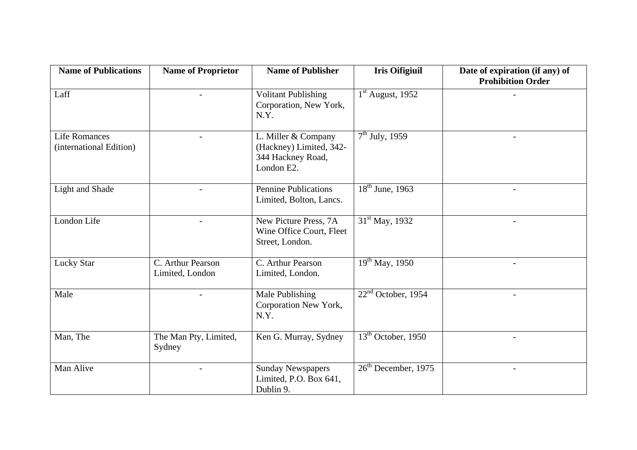| <b>Name of Publications</b>                     | <b>Name of Proprietor</b>            | <b>Name of Publisher</b>                                                          | <b>Iris Oifigiuil</b>           | Date of expiration (if any) of<br><b>Prohibition Order</b> |
|-------------------------------------------------|--------------------------------------|-----------------------------------------------------------------------------------|---------------------------------|------------------------------------------------------------|
| Laff                                            |                                      | <b>Volitant Publishing</b><br>Corporation, New York,<br>N.Y.                      | $1st$ August, 1952              |                                                            |
| <b>Life Romances</b><br>(international Edition) | $\overline{\phantom{a}}$             | L. Miller & Company<br>(Hackney) Limited, 342-<br>344 Hackney Road,<br>London E2. | $7th$ July, 1959                | $\overline{\phantom{a}}$                                   |
| Light and Shade                                 | $\overline{\phantom{a}}$             | <b>Pennine Publications</b><br>Limited, Bolton, Lancs.                            | $\overline{18^{th}}$ June, 1963 | $\overline{\phantom{a}}$                                   |
| London Life                                     | $\overline{\phantom{a}}$             | New Picture Press, 7A<br>Wine Office Court, Fleet<br>Street, London.              | $31st$ May, 1932                | $\sim$                                                     |
| Lucky Star                                      | C. Arthur Pearson<br>Limited, London | C. Arthur Pearson<br>Limited, London.                                             | $19^{th}$ May, 1950             |                                                            |
| Male                                            |                                      | Male Publishing<br>Corporation New York,<br>N.Y.                                  | $22nd$ October, 1954            | $\overline{\phantom{a}}$                                   |
| Man, The                                        | The Man Pty, Limited,<br>Sydney      | Ken G. Murray, Sydney                                                             | $13th$ October, 1950            | $\equiv$                                                   |
| Man Alive                                       |                                      | <b>Sunday Newspapers</b><br>Limited, P.O. Box 641,<br>Dublin 9.                   | $26th$ December, 1975           |                                                            |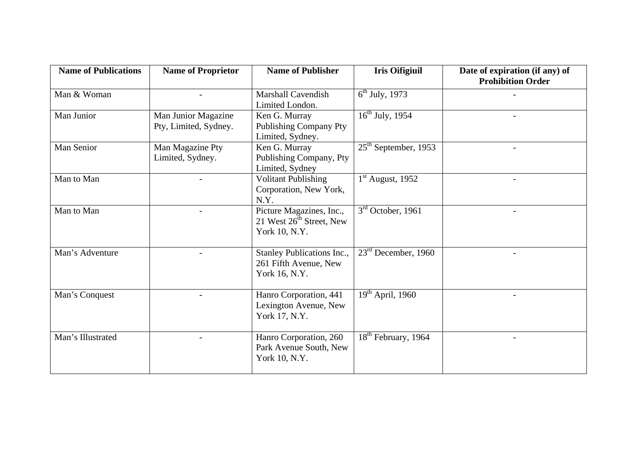| <b>Name of Publications</b> | <b>Name of Proprietor</b>                    | <b>Name of Publisher</b>                                                   | <b>Iris Oifigiuil</b>                     | Date of expiration (if any) of<br><b>Prohibition Order</b> |
|-----------------------------|----------------------------------------------|----------------------------------------------------------------------------|-------------------------------------------|------------------------------------------------------------|
| Man & Woman                 |                                              | <b>Marshall Cavendish</b><br>Limited London.                               | $6^{\text{th}}$ July, 1973                |                                                            |
| Man Junior                  | Man Junior Magazine<br>Pty, Limited, Sydney. | Ken G. Murray<br><b>Publishing Company Pty</b><br>Limited, Sydney.         | $\overline{16^{th}}$ July, 1954           |                                                            |
| Man Senior                  | Man Magazine Pty<br>Limited, Sydney.         | Ken G. Murray<br>Publishing Company, Pty<br>Limited, Sydney                | $25th$ September, 1953                    | $\overline{\phantom{0}}$                                   |
| Man to Man                  |                                              | <b>Volitant Publishing</b><br>Corporation, New York,<br>N.Y.               | $1st$ August, 1952                        |                                                            |
| Man to Man                  |                                              | Picture Magazines, Inc.,<br>21 West $26^{th}$ Street, New<br>York 10, N.Y. | $3rd$ October, 1961                       |                                                            |
| Man's Adventure             |                                              | Stanley Publications Inc.,<br>261 Fifth Avenue, New<br>York 16, N.Y.       | $23rd$ December, 1960                     |                                                            |
| Man's Conquest              |                                              | Hanro Corporation, 441<br>Lexington Avenue, New<br>York 17, N.Y.           | $\overline{19}$ <sup>th</sup> April, 1960 |                                                            |
| Man's Illustrated           |                                              | Hanro Corporation, 260<br>Park Avenue South, New<br>York 10, N.Y.          | 18 <sup>th</sup> February, 1964           |                                                            |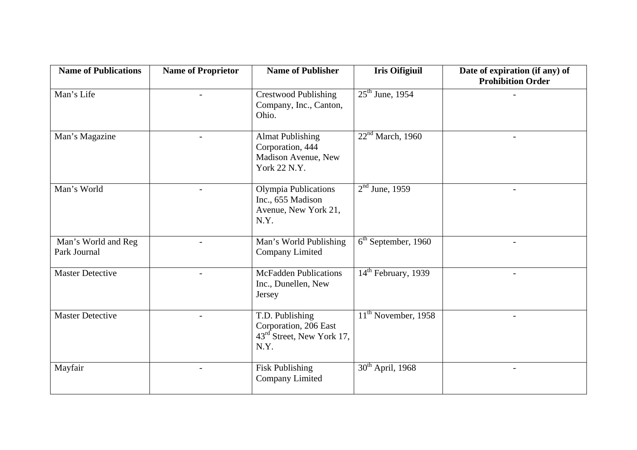| <b>Name of Publications</b>         | <b>Name of Proprietor</b> | <b>Name of Publisher</b>                                                                  | <b>Iris Oifigiuil</b>           | Date of expiration (if any) of<br><b>Prohibition Order</b> |
|-------------------------------------|---------------------------|-------------------------------------------------------------------------------------------|---------------------------------|------------------------------------------------------------|
| Man's Life                          |                           | <b>Crestwood Publishing</b><br>Company, Inc., Canton,<br>Ohio.                            | $25th$ June, 1954               |                                                            |
| Man's Magazine                      |                           | <b>Almat Publishing</b><br>Corporation, 444<br>Madison Avenue, New<br>York 22 N.Y.        | 22 <sup>nd</sup> March, 1960    |                                                            |
| Man's World                         |                           | <b>Olympia Publications</b><br>Inc., 655 Madison<br>Avenue, New York 21,<br>N.Y.          | $2nd$ June, 1959                | $\blacksquare$                                             |
| Man's World and Reg<br>Park Journal |                           | Man's World Publishing<br>Company Limited                                                 | $6th$ September, 1960           | $\overline{\phantom{0}}$                                   |
| <b>Master Detective</b>             |                           | <b>McFadden Publications</b><br>Inc., Dunellen, New<br>Jersey                             | 14 <sup>th</sup> February, 1939 | $\blacksquare$                                             |
| <b>Master Detective</b>             |                           | T.D. Publishing<br>Corporation, 206 East<br>43 <sup>rd</sup> Street, New York 17,<br>N.Y. | $11th$ November, 1958           |                                                            |
| Mayfair                             |                           | <b>Fisk Publishing</b><br>Company Limited                                                 | $30th$ April, 1968              |                                                            |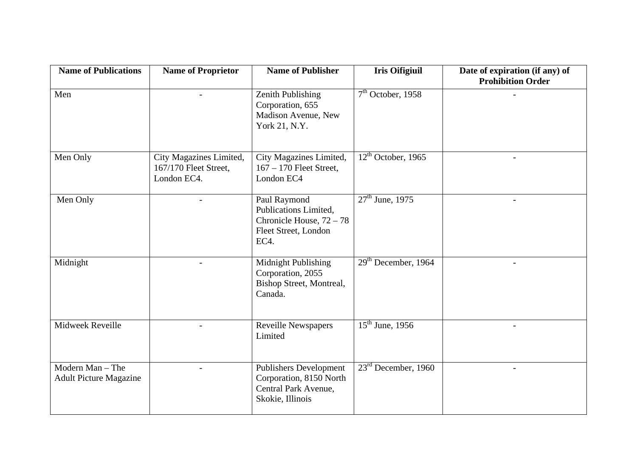| <b>Name of Publications</b>                       | <b>Name of Proprietor</b>                                       | <b>Name of Publisher</b>                                                                             | <b>Iris Oifigiuil</b> | Date of expiration (if any) of<br><b>Prohibition Order</b> |
|---------------------------------------------------|-----------------------------------------------------------------|------------------------------------------------------------------------------------------------------|-----------------------|------------------------------------------------------------|
| Men                                               | $\overline{a}$                                                  | <b>Zenith Publishing</b><br>Corporation, 655<br>Madison Avenue, New<br>York 21, N.Y.                 | $7th$ October, 1958   |                                                            |
| Men Only                                          | City Magazines Limited,<br>167/170 Fleet Street,<br>London EC4. | City Magazines Limited,<br>$167 - 170$ Fleet Street,<br>London EC4                                   | $12th$ October, 1965  |                                                            |
| Men Only                                          |                                                                 | Paul Raymond<br>Publications Limited,<br>Chronicle House, 72 - 78<br>Fleet Street, London<br>EC4.    | $27th$ June, 1975     |                                                            |
| Midnight                                          |                                                                 | Midnight Publishing<br>Corporation, 2055<br>Bishop Street, Montreal,<br>Canada.                      | $29th$ December, 1964 |                                                            |
| Midweek Reveille                                  |                                                                 | Reveille Newspapers<br>Limited                                                                       | $15th$ June, 1956     |                                                            |
| Modern Man - The<br><b>Adult Picture Magazine</b> |                                                                 | <b>Publishers Development</b><br>Corporation, 8150 North<br>Central Park Avenue,<br>Skokie, Illinois | $23rd$ December, 1960 |                                                            |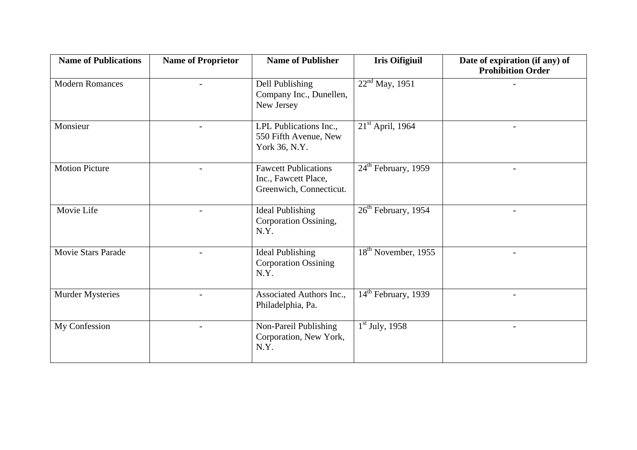| <b>Name of Publications</b> | <b>Name of Proprietor</b> | <b>Name of Publisher</b>                                                       | <b>Iris Oifigiuil</b>               | Date of expiration (if any) of<br><b>Prohibition Order</b> |
|-----------------------------|---------------------------|--------------------------------------------------------------------------------|-------------------------------------|------------------------------------------------------------|
| <b>Modern Romances</b>      |                           | Dell Publishing<br>Company Inc., Dunellen,<br>New Jersey                       | $22nd$ May, 1951                    |                                                            |
| Monsieur                    |                           | LPL Publications Inc.,<br>550 Fifth Avenue, New<br>York 36, N.Y.               | $21st$ April, 1964                  |                                                            |
| <b>Motion Picture</b>       |                           | <b>Fawcett Publications</b><br>Inc., Fawcett Place,<br>Greenwich, Connecticut. | $24th$ February, 1959               |                                                            |
| Movie Life                  |                           | <b>Ideal Publishing</b><br>Corporation Ossining,<br>N.Y.                       | $26th$ February, 1954               |                                                            |
| <b>Movie Stars Parade</b>   |                           | <b>Ideal Publishing</b><br><b>Corporation Ossining</b><br>N.Y.                 | $18th$ November, 1955               |                                                            |
| <b>Murder Mysteries</b>     |                           | Associated Authors Inc.,<br>Philadelphia, Pa.                                  | $\overline{14^{th}}$ February, 1939 | $\overline{a}$                                             |
| My Confession               |                           | Non-Pareil Publishing<br>Corporation, New York,<br>N.Y.                        | $1st$ July, 1958                    |                                                            |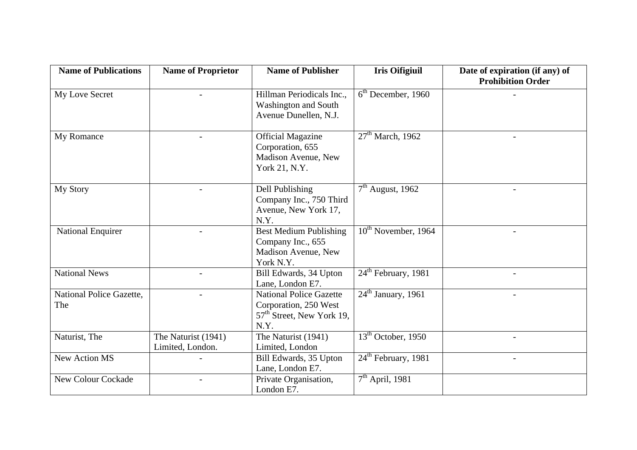| <b>Name of Publications</b>     | <b>Name of Proprietor</b>               | <b>Name of Publisher</b>                                                                                 | <b>Iris Oifigiuil</b>           | Date of expiration (if any) of<br><b>Prohibition Order</b> |
|---------------------------------|-----------------------------------------|----------------------------------------------------------------------------------------------------------|---------------------------------|------------------------------------------------------------|
| My Love Secret                  |                                         | Hillman Periodicals Inc.,<br>Washington and South<br>Avenue Dunellen, N.J.                               | $6th$ December, 1960            |                                                            |
| My Romance                      |                                         | <b>Official Magazine</b><br>Corporation, 655<br>Madison Avenue, New<br>York 21, N.Y.                     | $27th$ March, 1962              |                                                            |
| My Story                        | $\overline{a}$                          | Dell Publishing<br>Company Inc., 750 Third<br>Avenue, New York 17,<br>N.Y.                               | $7th$ August, 1962              | $\overline{\phantom{0}}$                                   |
| <b>National Enquirer</b>        |                                         | <b>Best Medium Publishing</b><br>Company Inc., 655<br>Madison Avenue, New<br>York N.Y.                   | $10^{\text{th}}$ November, 1964 |                                                            |
| <b>National News</b>            | $\blacksquare$                          | Bill Edwards, 34 Upton<br>Lane, London E7.                                                               | $24th$ February, 1981           | $-$                                                        |
| National Police Gazette,<br>The |                                         | <b>National Police Gazette</b><br>Corporation, 250 West<br>57 <sup>th</sup> Street, New York 19,<br>N.Y. | $24th$ January, 1961            |                                                            |
| Naturist, The                   | The Naturist (1941)<br>Limited, London. | The Naturist (1941)<br>Limited, London                                                                   | $13th$ October, 1950            |                                                            |
| <b>New Action MS</b>            |                                         | Bill Edwards, 35 Upton<br>Lane, London E7.                                                               | $24th$ February, 1981           |                                                            |
| <b>New Colour Cockade</b>       |                                         | Private Organisation,<br>London E7.                                                                      | $7th$ April, 1981               |                                                            |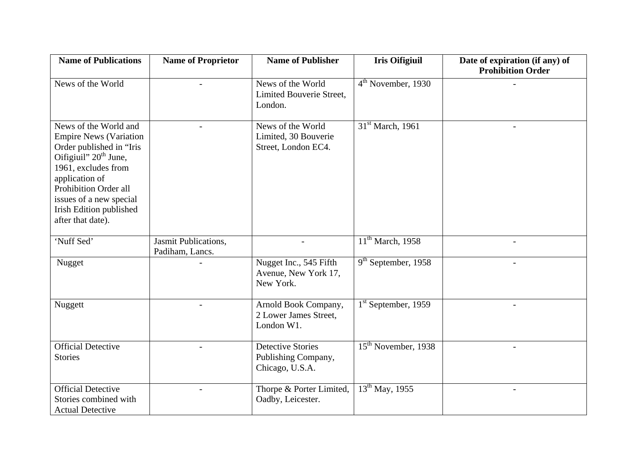| <b>Name of Publications</b>                                                                                                                                                                                                                                          | <b>Name of Proprietor</b>               | <b>Name of Publisher</b>                                           | <b>Iris Oifigiuil</b>               | Date of expiration (if any) of<br><b>Prohibition Order</b> |
|----------------------------------------------------------------------------------------------------------------------------------------------------------------------------------------------------------------------------------------------------------------------|-----------------------------------------|--------------------------------------------------------------------|-------------------------------------|------------------------------------------------------------|
| News of the World                                                                                                                                                                                                                                                    |                                         | News of the World<br>Limited Bouverie Street,<br>London.           | $4th$ November, 1930                |                                                            |
| News of the World and<br><b>Empire News (Variation</b><br>Order published in "Iris<br>Oifigiuil" 20 <sup>th</sup> June,<br>1961, excludes from<br>application of<br>Prohibition Order all<br>issues of a new special<br>Irish Edition published<br>after that date). |                                         | News of the World<br>Limited, 30 Bouverie<br>Street, London EC4.   | 31 <sup>st</sup> March, 1961        |                                                            |
| 'Nuff Sed'                                                                                                                                                                                                                                                           | Jasmit Publications,<br>Padiham, Lancs. |                                                                    | $11th$ March, 1958                  |                                                            |
| Nugget                                                                                                                                                                                                                                                               |                                         | Nugget Inc., 545 Fifth<br>Avenue, New York 17,<br>New York.        | $9th$ September, 1958               |                                                            |
| Nuggett                                                                                                                                                                                                                                                              |                                         | Arnold Book Company,<br>2 Lower James Street,<br>London W1.        | $\overline{1^{st}}$ September, 1959 |                                                            |
| <b>Official Detective</b><br><b>Stories</b>                                                                                                                                                                                                                          |                                         | <b>Detective Stories</b><br>Publishing Company,<br>Chicago, U.S.A. | 15 <sup>th</sup> November, 1938     |                                                            |
| <b>Official Detective</b><br>Stories combined with<br><b>Actual Detective</b>                                                                                                                                                                                        |                                         | Thorpe & Porter Limited,<br>Oadby, Leicester.                      | $13^{th}$ May, 1955                 | $\overline{\phantom{a}}$                                   |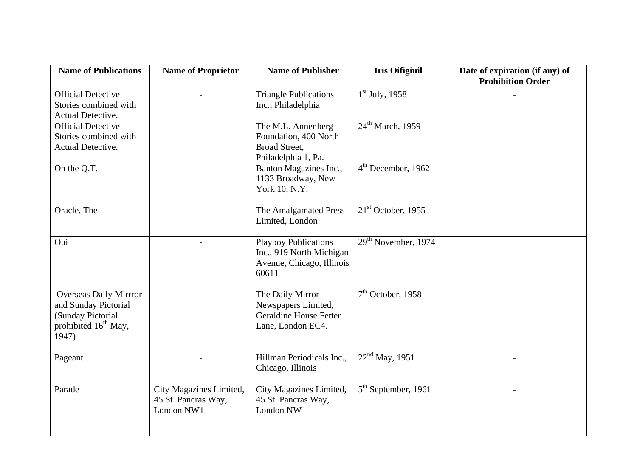| <b>Name of Publications</b>                                                                                             | <b>Name of Proprietor</b>                                    | <b>Name of Publisher</b>                                                                      | <b>Iris Oifigiuil</b>           | Date of expiration (if any) of<br><b>Prohibition Order</b> |
|-------------------------------------------------------------------------------------------------------------------------|--------------------------------------------------------------|-----------------------------------------------------------------------------------------------|---------------------------------|------------------------------------------------------------|
| <b>Official Detective</b><br>Stories combined with<br>Actual Detective.                                                 |                                                              | <b>Triangle Publications</b><br>Inc., Philadelphia                                            | $1st$ July, 1958                |                                                            |
| <b>Official Detective</b><br>Stories combined with<br>Actual Detective.                                                 |                                                              | The M.L. Annenberg<br>Foundation, 400 North<br>Broad Street,<br>Philadelphia 1, Pa.           | $24th$ March, 1959              | $\overline{a}$                                             |
| On the Q.T.                                                                                                             |                                                              | Banton Magazines Inc.,<br>1133 Broadway, New<br>York 10, N.Y.                                 | $4th$ December, 1962            |                                                            |
| Oracle, The                                                                                                             |                                                              | The Amalgamated Press<br>Limited, London                                                      | $21st$ October, 1955            |                                                            |
| Oui                                                                                                                     |                                                              | <b>Playboy Publications</b><br>Inc., 919 North Michigan<br>Avenue, Chicago, Illinois<br>60611 | 29 <sup>th</sup> November, 1974 |                                                            |
| <b>Overseas Daily Mirrror</b><br>and Sunday Pictorial<br>(Sunday Pictorial<br>prohibited 16 <sup>th</sup> May,<br>1947) |                                                              | The Daily Mirror<br>Newspapers Limited,<br><b>Geraldine House Fetter</b><br>Lane, London EC4. | $7th$ October, 1958             |                                                            |
| Pageant                                                                                                                 |                                                              | Hillman Periodicals Inc.,<br>Chicago, Illinois                                                | 22 <sup>nd</sup> May, 1951      |                                                            |
| Parade                                                                                                                  | City Magazines Limited,<br>45 St. Pancras Way,<br>London NW1 | City Magazines Limited,<br>45 St. Pancras Way,<br>London NW1                                  | $5th$ September, 1961           |                                                            |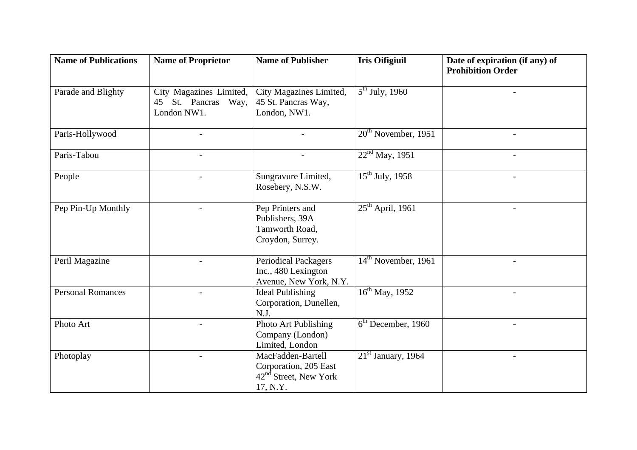| <b>Name of Publications</b> | <b>Name of Proprietor</b> | <b>Name of Publisher</b>    | <b>Iris Oifigiuil</b> | Date of expiration (if any) of<br><b>Prohibition Order</b> |
|-----------------------------|---------------------------|-----------------------------|-----------------------|------------------------------------------------------------|
|                             |                           |                             |                       |                                                            |
| Parade and Blighty          | City Magazines Limited,   | City Magazines Limited,     | $5^{th}$ July, 1960   |                                                            |
|                             | St. Pancras Way,<br>45    | 45 St. Pancras Way,         |                       |                                                            |
|                             | London NW1.               | London, NW1.                |                       |                                                            |
|                             |                           |                             |                       |                                                            |
| Paris-Hollywood             |                           |                             | $20th$ November, 1951 |                                                            |
| Paris-Tabou                 | $\overline{a}$            | $\overline{\phantom{a}}$    | $22nd$ May, 1951      | $\overline{\phantom{0}}$                                   |
|                             |                           |                             |                       |                                                            |
| People                      |                           | Sungravure Limited,         | $15^{th}$ July, 1958  |                                                            |
|                             |                           | Rosebery, N.S.W.            |                       |                                                            |
|                             |                           |                             |                       |                                                            |
| Pep Pin-Up Monthly          |                           | Pep Printers and            | $25th$ April, 1961    |                                                            |
|                             |                           | Publishers, 39A             |                       |                                                            |
|                             |                           | Tamworth Road,              |                       |                                                            |
|                             |                           | Croydon, Surrey.            |                       |                                                            |
| Peril Magazine              |                           | <b>Periodical Packagers</b> | $14th$ November, 1961 |                                                            |
|                             |                           | Inc., 480 Lexington         |                       |                                                            |
|                             |                           | Avenue, New York, N.Y.      |                       |                                                            |
| <b>Personal Romances</b>    |                           | <b>Ideal Publishing</b>     | $16^{th}$ May, 1952   |                                                            |
|                             |                           | Corporation, Dunellen,      |                       |                                                            |
|                             |                           | N.J.                        |                       |                                                            |
| Photo Art                   |                           | Photo Art Publishing        | $6th$ December, 1960  |                                                            |
|                             |                           | Company (London)            |                       |                                                            |
|                             |                           | Limited, London             |                       |                                                            |
| Photoplay                   |                           | MacFadden-Bartell           | $21st$ January, 1964  | $\overline{a}$                                             |
|                             |                           | Corporation, 205 East       |                       |                                                            |
|                             |                           | $42nd$ Street, New York     |                       |                                                            |
|                             |                           | 17, N.Y.                    |                       |                                                            |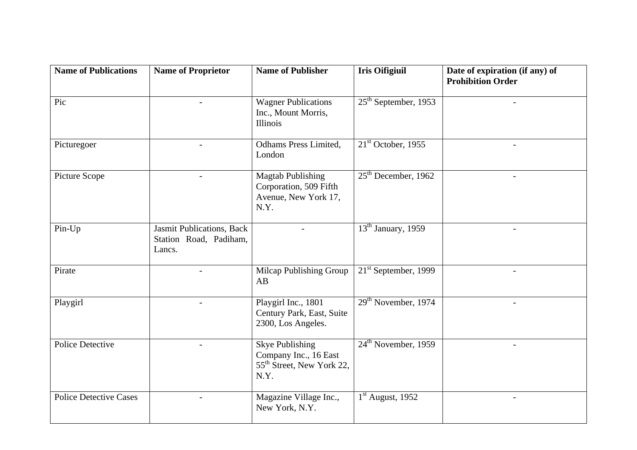| <b>Name of Publications</b>   | <b>Name of Proprietor</b>                                     | <b>Name of Publisher</b>                                                                         | <b>Iris Oifigiuil</b>           | Date of expiration (if any) of<br><b>Prohibition Order</b> |
|-------------------------------|---------------------------------------------------------------|--------------------------------------------------------------------------------------------------|---------------------------------|------------------------------------------------------------|
| Pic                           |                                                               | <b>Wagner Publications</b><br>Inc., Mount Morris,<br>Illinois                                    | $25th$ September, 1953          |                                                            |
| Picturegoer                   |                                                               | Odhams Press Limited,<br>London                                                                  | $21st$ October, 1955            |                                                            |
| Picture Scope                 | $\blacksquare$                                                | <b>Magtab Publishing</b><br>Corporation, 509 Fifth<br>Avenue, New York 17,<br>N.Y.               | $25th$ December, 1962           | $\overline{\phantom{a}}$                                   |
| Pin-Up                        | Jasmit Publications, Back<br>Station Road, Padiham,<br>Lancs. |                                                                                                  | 13 <sup>th</sup> January, 1959  | $\overline{\phantom{a}}$                                   |
| Pirate                        |                                                               | Milcap Publishing Group<br>AB                                                                    | $21st$ September, 1999          |                                                            |
| Playgirl                      |                                                               | Playgirl Inc., 1801<br>Century Park, East, Suite<br>2300, Los Angeles.                           | $29th$ November, 1974           |                                                            |
| <b>Police Detective</b>       |                                                               | <b>Skye Publishing</b><br>Company Inc., 16 East<br>55 <sup>th</sup> Street, New York 22,<br>N.Y. | 24 <sup>th</sup> November, 1959 | $\overline{a}$                                             |
| <b>Police Detective Cases</b> |                                                               | Magazine Village Inc.,<br>New York, N.Y.                                                         | $1st$ August, 1952              | $\overline{\phantom{a}}$                                   |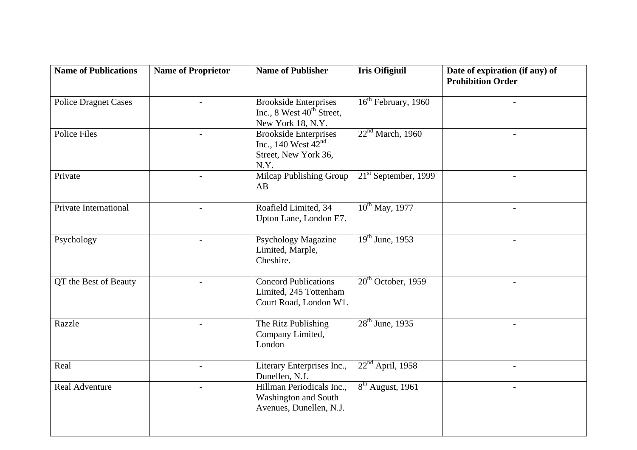| <b>Name of Publications</b>        | <b>Name of Proprietor</b> | <b>Name of Publisher</b>                                                                   | <b>Iris Oifigiuil</b>          | Date of expiration (if any) of<br><b>Prohibition Order</b> |
|------------------------------------|---------------------------|--------------------------------------------------------------------------------------------|--------------------------------|------------------------------------------------------------|
| <b>Police Dragnet Cases</b>        |                           | <b>Brookside Enterprises</b><br>Inc., 8 West 40 <sup>th</sup> Street,<br>New York 18, N.Y. | $16th$ February, 1960          |                                                            |
| <b>Police Files</b>                | $\overline{\phantom{a}}$  | <b>Brookside Enterprises</b><br>Inc., 140 West $42nd$<br>Street, New York 36,<br>N.Y.      | 22 <sup>nd</sup> March, 1960   |                                                            |
| Private                            |                           | Milcap Publishing Group<br>AB                                                              | $21st$ September, 1999         |                                                            |
| Private International              |                           | Roafield Limited, 34<br>Upton Lane, London E7.                                             | $10^{th}$ May, 1977            |                                                            |
| Psychology                         | $\blacksquare$            | <b>Psychology Magazine</b><br>Limited, Marple,<br>Cheshire.                                | $\overline{19^{th}$ June, 1953 | $-$                                                        |
| $\overline{OT}$ the Best of Beauty |                           | <b>Concord Publications</b><br>Limited, 245 Tottenham<br>Court Road, London W1.            | $20th$ October, 1959           |                                                            |
| Razzle                             | $\overline{a}$            | The Ritz Publishing<br>Company Limited,<br>London                                          | $28th$ June, 1935              | $\blacksquare$                                             |
| Real                               |                           | Literary Enterprises Inc.,<br>Dunellen, N.J.                                               | $22nd$ April, 1958             |                                                            |
| <b>Real Adventure</b>              | $\overline{a}$            | Hillman Periodicals Inc.,<br>Washington and South<br>Avenues, Dunellen, N.J.               | $8th$ August, 1961             | $\overline{\phantom{a}}$                                   |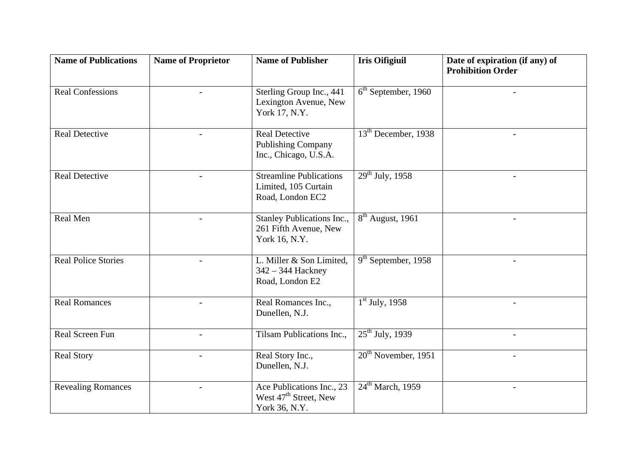| <b>Name of Publications</b> | <b>Name of Proprietor</b> | <b>Name of Publisher</b>                                                        | <b>Iris Oifigiuil</b>            | Date of expiration (if any) of<br><b>Prohibition Order</b> |
|-----------------------------|---------------------------|---------------------------------------------------------------------------------|----------------------------------|------------------------------------------------------------|
| <b>Real Confessions</b>     |                           | Sterling Group Inc., 441<br>Lexington Avenue, New<br>York 17, N.Y.              | $6th$ September, 1960            |                                                            |
| <b>Real Detective</b>       |                           | <b>Real Detective</b><br><b>Publishing Company</b><br>Inc., Chicago, U.S.A.     | 13 <sup>th</sup> December, 1938  | $\overline{a}$                                             |
| <b>Real Detective</b>       |                           | <b>Streamline Publications</b><br>Limited, 105 Curtain<br>Road, London EC2      | $29^{th}$ July, 1958             |                                                            |
| Real Men                    |                           | Stanley Publications Inc.,<br>261 Fifth Avenue, New<br>York 16, N.Y.            | $\overline{8^{th}}$ August, 1961 |                                                            |
| <b>Real Police Stories</b>  |                           | L. Miller & Son Limited,<br>342 – 344 Hackney<br>Road, London E2                | $9th$ September, 1958            |                                                            |
| <b>Real Romances</b>        | $\overline{a}$            | Real Romances Inc.,<br>Dunellen, N.J.                                           | $1st$ July, 1958                 |                                                            |
| Real Screen Fun             | $\overline{\phantom{a}}$  | Tilsam Publications Inc.,                                                       | $25^{\text{th}}$ July, 1939      | $\overline{\phantom{a}}$                                   |
| <b>Real Story</b>           |                           | Real Story Inc.,<br>Dunellen, N.J.                                              | $20th$ November, 1951            |                                                            |
| <b>Revealing Romances</b>   | $\overline{a}$            | Ace Publications Inc., 23<br>West 47 <sup>th</sup> Street, New<br>York 36, N.Y. | $24th$ March, 1959               | $\blacksquare$                                             |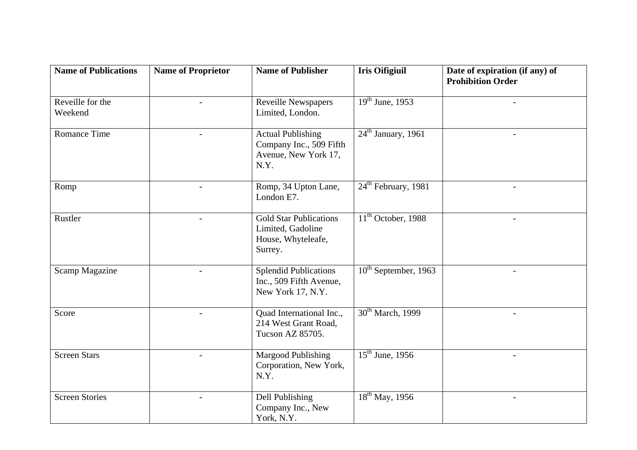| <b>Name of Publications</b> | <b>Name of Proprietor</b> | <b>Name of Publisher</b>                                                            | <b>Iris Oifigiuil</b>           | Date of expiration (if any) of<br><b>Prohibition Order</b> |
|-----------------------------|---------------------------|-------------------------------------------------------------------------------------|---------------------------------|------------------------------------------------------------|
| Reveille for the<br>Weekend |                           | <b>Reveille Newspapers</b><br>Limited, London.                                      | $19th$ June, 1953               |                                                            |
| Romance Time                | $\overline{a}$            | <b>Actual Publishing</b><br>Company Inc., 509 Fifth<br>Avenue, New York 17,<br>N.Y. | $24th$ January, 1961            | $\overline{a}$                                             |
| Romp                        |                           | Romp, 34 Upton Lane,<br>London E7.                                                  | 24 <sup>th</sup> February, 1981 |                                                            |
| Rustler                     | $\overline{\phantom{a}}$  | <b>Gold Star Publications</b><br>Limited, Gadoline<br>House, Whyteleafe,<br>Surrey. | $11th$ October, 1988            | $\overline{\phantom{a}}$                                   |
| <b>Scamp Magazine</b>       |                           | <b>Splendid Publications</b><br>Inc., 509 Fifth Avenue,<br>New York 17, N.Y.        | $10^{th}$ September, 1963       |                                                            |
| Score                       |                           | Quad International Inc.,<br>214 West Grant Road,<br>Tucson AZ 85705.                | 30 <sup>th</sup> March, 1999    |                                                            |
| <b>Screen Stars</b>         |                           | Margood Publishing<br>Corporation, New York,<br>N.Y.                                | $\overline{15^{th}}$ June, 1956 |                                                            |
| <b>Screen Stories</b>       |                           | Dell Publishing<br>Company Inc., New<br>York, N.Y.                                  | $18^{th}$ May, 1956             | $\sim$                                                     |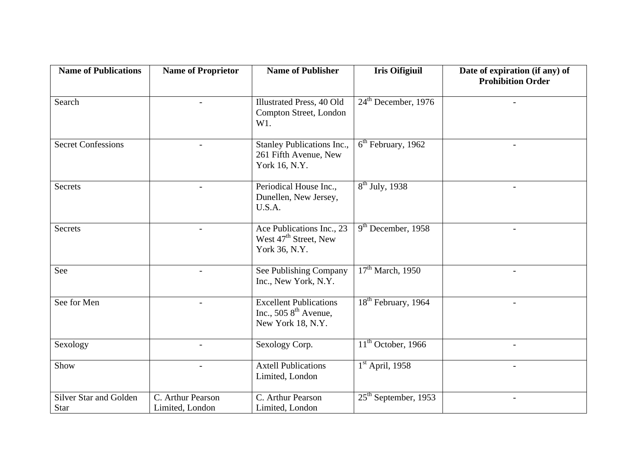| <b>Name of Publications</b>                  | <b>Name of Proprietor</b>            | <b>Name of Publisher</b>                                                                | <b>Iris Oifigiuil</b>                     | Date of expiration (if any) of<br><b>Prohibition Order</b> |
|----------------------------------------------|--------------------------------------|-----------------------------------------------------------------------------------------|-------------------------------------------|------------------------------------------------------------|
| Search                                       | $\overline{a}$                       | <b>Illustrated Press, 40 Old</b><br>Compton Street, London<br>W1.                       | $24th$ December, 1976                     |                                                            |
| <b>Secret Confessions</b>                    | $\overline{a}$                       | Stanley Publications Inc.,<br>261 Fifth Avenue, New<br>York 16, N.Y.                    | $6th$ February, 1962                      |                                                            |
| <b>Secrets</b>                               | $\blacksquare$                       | Periodical House Inc.,<br>Dunellen, New Jersey,<br>U.S.A.                               | $8th$ July, 1938                          | $\blacksquare$                                             |
| <b>Secrets</b>                               | $\blacksquare$                       | Ace Publications Inc., 23<br>West $47th$ Street, New<br>York 36, N.Y.                   | $9th$ December, 1958                      | $\overline{\phantom{a}}$                                   |
| See                                          | $\overline{\phantom{a}}$             | See Publishing Company<br>Inc., New York, N.Y.                                          | $17th$ March, 1950                        | $\overline{\phantom{a}}$                                   |
| See for Men                                  | $\overline{a}$                       | <b>Excellent Publications</b><br>Inc., 505 $8^{\text{th}}$ Avenue,<br>New York 18, N.Y. | 18 <sup>th</sup> February, 1964           | $\blacksquare$                                             |
| Sexology                                     | $\overline{a}$                       | Sexology Corp.                                                                          | $\overline{11}^{\text{th}}$ October, 1966 | $\overline{\phantom{a}}$                                   |
| Show                                         |                                      | <b>Axtell Publications</b><br>Limited, London                                           | $1st$ April, 1958                         |                                                            |
| <b>Silver Star and Golden</b><br><b>Star</b> | C. Arthur Pearson<br>Limited, London | C. Arthur Pearson<br>Limited, London                                                    | $25th$ September, 1953                    | $\blacksquare$                                             |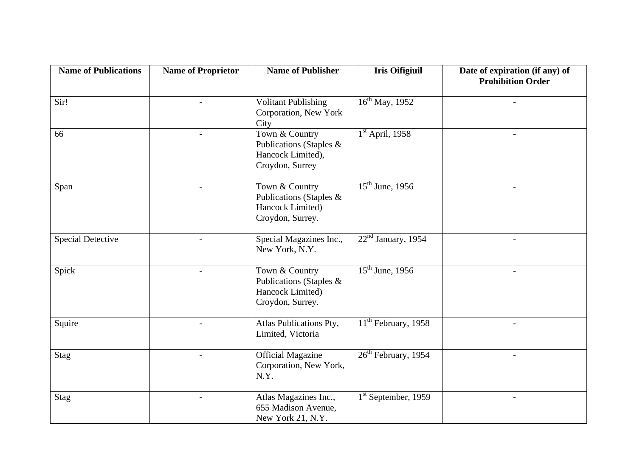| <b>Name of Publications</b> | <b>Name of Proprietor</b> | <b>Name of Publisher</b>                                                          | <b>Iris Oifigiuil</b>      | Date of expiration (if any) of<br><b>Prohibition Order</b> |
|-----------------------------|---------------------------|-----------------------------------------------------------------------------------|----------------------------|------------------------------------------------------------|
| Sir!                        |                           | <b>Volitant Publishing</b><br>Corporation, New York<br>City                       | 16 <sup>th</sup> May, 1952 |                                                            |
| 66                          | $\overline{a}$            | Town & Country<br>Publications (Staples &<br>Hancock Limited),<br>Croydon, Surrey | $1st$ April, 1958          |                                                            |
| Span                        |                           | Town & Country<br>Publications (Staples &<br>Hancock Limited)<br>Croydon, Surrey. | $15^{th}$ June, 1956       |                                                            |
| <b>Special Detective</b>    |                           | Special Magazines Inc.,<br>New York, N.Y.                                         | $22nd$ January, 1954       |                                                            |
| Spick                       |                           | Town & Country<br>Publications (Staples &<br>Hancock Limited)<br>Croydon, Surrey. | $15th$ June, 1956          |                                                            |
| Squire                      |                           | Atlas Publications Pty,<br>Limited, Victoria                                      | $11th$ February, 1958      | $\overline{\phantom{a}}$                                   |
| Stag                        |                           | <b>Official Magazine</b><br>Corporation, New York,<br>N.Y.                        | $26th$ February, 1954      |                                                            |
| Stag                        |                           | Atlas Magazines Inc.,<br>655 Madison Avenue,<br>New York 21, N.Y.                 | $1st$ September, 1959      | $-$                                                        |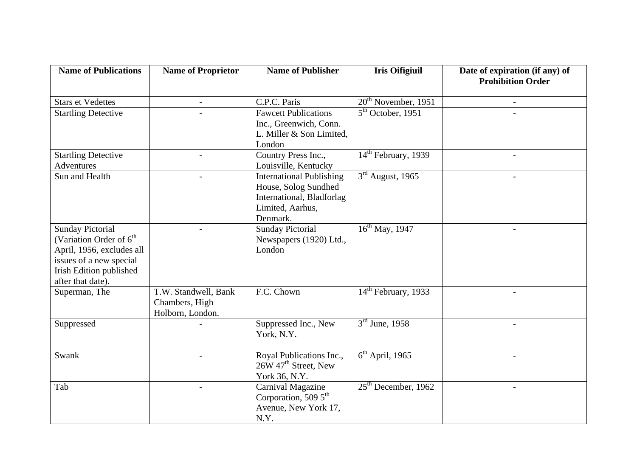| <b>Name of Publications</b>                                                                                                                                            | <b>Name of Proprietor</b>                                  | <b>Name of Publisher</b>                                                                                             | <b>Iris Oifigiuil</b>           | Date of expiration (if any) of<br><b>Prohibition Order</b> |
|------------------------------------------------------------------------------------------------------------------------------------------------------------------------|------------------------------------------------------------|----------------------------------------------------------------------------------------------------------------------|---------------------------------|------------------------------------------------------------|
| <b>Stars et Vedettes</b>                                                                                                                                               | $\frac{1}{2}$                                              | C.P.C. Paris                                                                                                         | $20th$ November, 1951           | $\blacksquare$                                             |
| <b>Startling Detective</b>                                                                                                                                             |                                                            | <b>Fawcett Publications</b><br>Inc., Greenwich, Conn.<br>L. Miller & Son Limited,<br>London                          | $5th$ October, 1951             |                                                            |
| <b>Startling Detective</b><br>Adventures                                                                                                                               |                                                            | Country Press Inc.,<br>Louisville, Kentucky                                                                          | $14th$ February, 1939           |                                                            |
| Sun and Health                                                                                                                                                         |                                                            | <b>International Publishing</b><br>House, Solog Sundhed<br>International, Bladforlag<br>Limited, Aarhus,<br>Denmark. | $3rd$ August, 1965              |                                                            |
| <b>Sunday Pictorial</b><br>(Variation Order of 6 <sup>th</sup><br>April, 1956, excludes all<br>issues of a new special<br>Irish Edition published<br>after that date). |                                                            | <b>Sunday Pictorial</b><br>Newspapers (1920) Ltd.,<br>London                                                         | $16^{th}$ May, 1947             |                                                            |
| Superman, The                                                                                                                                                          | T.W. Standwell, Bank<br>Chambers, High<br>Holborn, London. | F.C. Chown                                                                                                           | $14th$ February, 1933           |                                                            |
| Suppressed                                                                                                                                                             |                                                            | Suppressed Inc., New<br>York, N.Y.                                                                                   | $3rd$ June, 1958                | $\qquad \qquad -$                                          |
| Swank                                                                                                                                                                  |                                                            | Royal Publications Inc.,<br>26W 47 <sup>th</sup> Street, New<br>York 36, N.Y.                                        | $\overline{6^{th}}$ April, 1965 |                                                            |
| Tab                                                                                                                                                                    |                                                            | Carnival Magazine<br>Corporation, 509 $5th$<br>Avenue, New York 17,<br>N.Y.                                          | $25th$ December, 1962           |                                                            |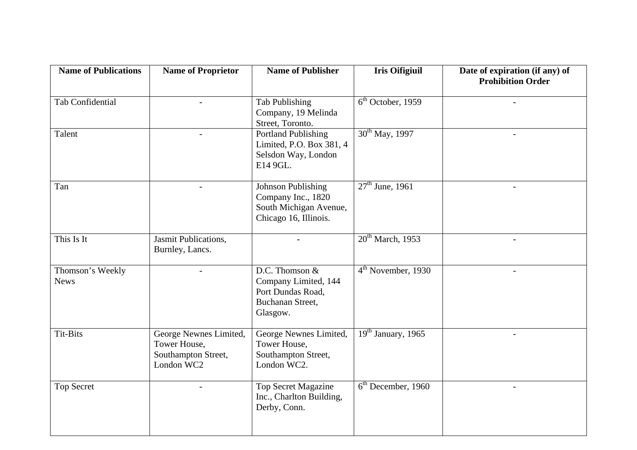| <b>Name of Publications</b>     | <b>Name of Proprietor</b>                                                   | <b>Name of Publisher</b>                                                                           | <b>Iris Oifigiuil</b> | Date of expiration (if any) of<br><b>Prohibition Order</b> |
|---------------------------------|-----------------------------------------------------------------------------|----------------------------------------------------------------------------------------------------|-----------------------|------------------------------------------------------------|
| <b>Tab Confidential</b>         | $\overline{a}$                                                              | <b>Tab Publishing</b><br>Company, 19 Melinda<br>Street, Toronto.                                   | $6th$ October, 1959   |                                                            |
| Talent                          | $\overline{\phantom{a}}$                                                    | <b>Portland Publishing</b><br>Limited, P.O. Box 381, 4<br>Selsdon Way, London<br>E14 9GL.          | $30th$ May, 1997      | $\overline{\phantom{a}}$                                   |
| Tan                             |                                                                             | <b>Johnson Publishing</b><br>Company Inc., 1820<br>South Michigan Avenue,<br>Chicago 16, Illinois. | $27th$ June, 1961     |                                                            |
| This Is It                      | Jasmit Publications,<br>Burnley, Lancs.                                     |                                                                                                    | $20th$ March, 1953    |                                                            |
| Thomson's Weekly<br><b>News</b> |                                                                             | D.C. Thomson &<br>Company Limited, 144<br>Port Dundas Road,<br>Buchanan Street,<br>Glasgow.        | $4th$ November, 1930  |                                                            |
| Tit-Bits                        | George Newnes Limited,<br>Tower House,<br>Southampton Street,<br>London WC2 | George Newnes Limited,<br>Tower House,<br>Southampton Street,<br>London WC2.                       | $19th$ January, 1965  | $\blacksquare$                                             |
| <b>Top Secret</b>               |                                                                             | <b>Top Secret Magazine</b><br>Inc., Charlton Building,<br>Derby, Conn.                             | $6th$ December, 1960  | $\overline{\phantom{a}}$                                   |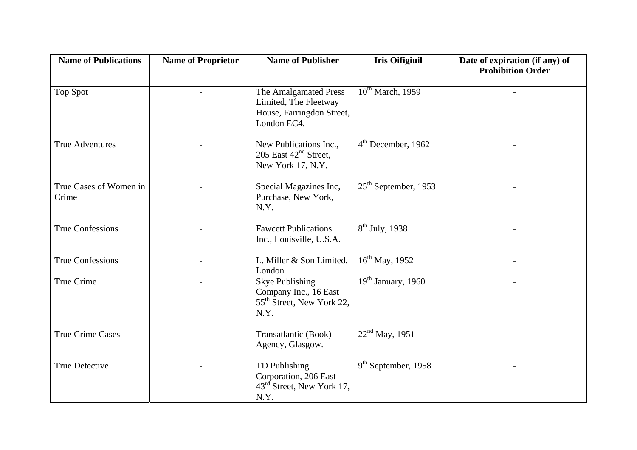| <b>Name of Publications</b>     | <b>Name of Proprietor</b> | <b>Name of Publisher</b>                                                                         | <b>Iris Oifigiuil</b>  | Date of expiration (if any) of<br><b>Prohibition Order</b> |
|---------------------------------|---------------------------|--------------------------------------------------------------------------------------------------|------------------------|------------------------------------------------------------|
| <b>Top Spot</b>                 |                           | The Amalgamated Press<br>Limited, The Fleetway<br>House, Farringdon Street,<br>London EC4.       | $10^{th}$ March, 1959  |                                                            |
| <b>True Adventures</b>          |                           | New Publications Inc.,<br>205 East $42nd$ Street,<br>New York 17, N.Y.                           | $4th$ December, 1962   | $-$                                                        |
| True Cases of Women in<br>Crime |                           | Special Magazines Inc,<br>Purchase, New York,<br>N.Y.                                            | $25th$ September, 1953 |                                                            |
| <b>True Confessions</b>         |                           | <b>Fawcett Publications</b><br>Inc., Louisville, U.S.A.                                          | $8th$ July, 1938       |                                                            |
| <b>True Confessions</b>         | $\blacksquare$            | L. Miller & Son Limited,<br>London                                                               | $16^{th}$ May, 1952    | $\overline{\phantom{a}}$                                   |
| True Crime                      |                           | <b>Skye Publishing</b><br>Company Inc., 16 East<br>55 <sup>th</sup> Street, New York 22,<br>N.Y. | $19th$ January, 1960   |                                                            |
| <b>True Crime Cases</b>         |                           | Transatlantic (Book)<br>Agency, Glasgow.                                                         | $22nd$ May, 1951       |                                                            |
| <b>True Detective</b>           |                           | TD Publishing<br>Corporation, 206 East<br>43 <sup>rd</sup> Street, New York 17,<br>N.Y.          | $9th$ September, 1958  |                                                            |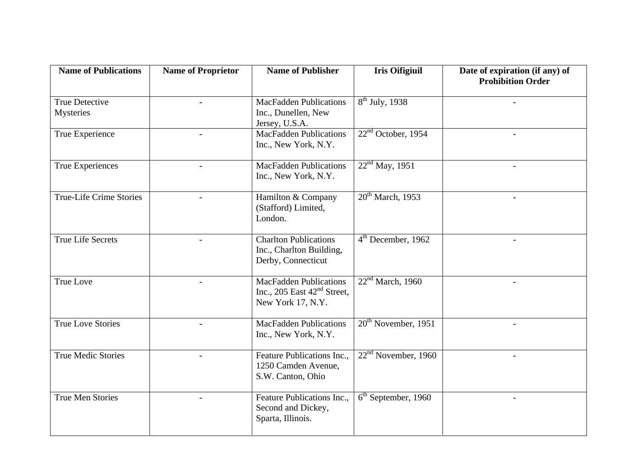| <b>Name of Publications</b>               | <b>Name of Proprietor</b> | <b>Name of Publisher</b>                                                            | <b>Iris Oifigiuil</b>        | Date of expiration (if any) of<br><b>Prohibition Order</b> |
|-------------------------------------------|---------------------------|-------------------------------------------------------------------------------------|------------------------------|------------------------------------------------------------|
| <b>True Detective</b><br><b>Mysteries</b> | $\overline{a}$            | <b>MacFadden Publications</b><br>Inc., Dunellen, New<br>Jersey, U.S.A.              | $8th$ July, 1938             |                                                            |
| True Experience                           | $\overline{\phantom{a}}$  | <b>MacFadden Publications</b><br>Inc., New York, N.Y.                               | $22nd$ October, 1954         | $\overline{\phantom{a}}$                                   |
| True Experiences                          | $\overline{a}$            | <b>MacFadden Publications</b><br>Inc., New York, N.Y.                               | 22 <sup>nd</sup> May, 1951   |                                                            |
| <b>True-Life Crime Stories</b>            |                           | Hamilton & Company<br>(Stafford) Limited,<br>London.                                | $20th$ March, 1953           |                                                            |
| <b>True Life Secrets</b>                  | $\blacksquare$            | <b>Charlton Publications</b><br>Inc., Charlton Building,<br>Derby, Connecticut      | $4th$ December, 1962         | $\equiv$                                                   |
| <b>True Love</b>                          |                           | <b>MacFadden Publications</b><br>Inc., 205 East $42nd$ Street,<br>New York 17, N.Y. | 22 <sup>nd</sup> March, 1960 |                                                            |
| <b>True Love Stories</b>                  | $\blacksquare$            | <b>MacFadden Publications</b><br>Inc., New York, N.Y.                               | $20th$ November, 1951        | $-$                                                        |
| <b>True Medic Stories</b>                 |                           | Feature Publications Inc.,<br>1250 Camden Avenue,<br>S.W. Canton, Ohio              | $22nd$ November, 1960        |                                                            |
| <b>True Men Stories</b>                   |                           | Feature Publications Inc.,<br>Second and Dickey,<br>Sparta, Illinois.               | $6th$ September, 1960        | $\overline{\phantom{a}}$                                   |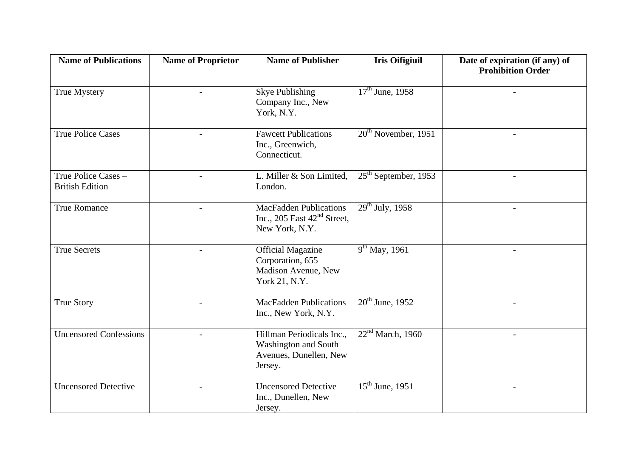| <b>Name of Publications</b>                   | <b>Name of Proprietor</b> | <b>Name of Publisher</b>                                                                      | <b>Iris Oifigiuil</b>           | Date of expiration (if any) of<br><b>Prohibition Order</b> |
|-----------------------------------------------|---------------------------|-----------------------------------------------------------------------------------------------|---------------------------------|------------------------------------------------------------|
| True Mystery                                  |                           | <b>Skye Publishing</b><br>Company Inc., New<br>York, N.Y.                                     | $17^{th}$ June, 1958            |                                                            |
| <b>True Police Cases</b>                      | $\overline{a}$            | <b>Fawcett Publications</b><br>Inc., Greenwich,<br>Connecticut.                               | $20th$ November, 1951           | $\overline{a}$                                             |
| True Police Cases -<br><b>British Edition</b> |                           | L. Miller & Son Limited,<br>London.                                                           | $25th$ September, 1953          | $\equiv$                                                   |
| <b>True Romance</b>                           |                           | <b>MacFadden Publications</b><br>Inc., 205 East $42nd$ Street,<br>New York, N.Y.              | $\overline{29^{th}$ July, 1958  |                                                            |
| <b>True Secrets</b>                           |                           | <b>Official Magazine</b><br>Corporation, 655<br>Madison Avenue, New<br>York 21, N.Y.          | $\overline{9^{th}}$ May, 1961   |                                                            |
| <b>True Story</b>                             |                           | <b>MacFadden Publications</b><br>Inc., New York, N.Y.                                         | $20th$ June, 1952               |                                                            |
| <b>Uncensored Confessions</b>                 | $\overline{\phantom{a}}$  | Hillman Periodicals Inc.,<br><b>Washington and South</b><br>Avenues, Dunellen, New<br>Jersey. | 22 <sup>nd</sup> March, 1960    | $\overline{\phantom{a}}$                                   |
| <b>Uncensored Detective</b>                   |                           | <b>Uncensored Detective</b><br>Inc., Dunellen, New<br>Jersey.                                 | $\overline{15^{th}}$ June, 1951 | $\overline{\phantom{a}}$                                   |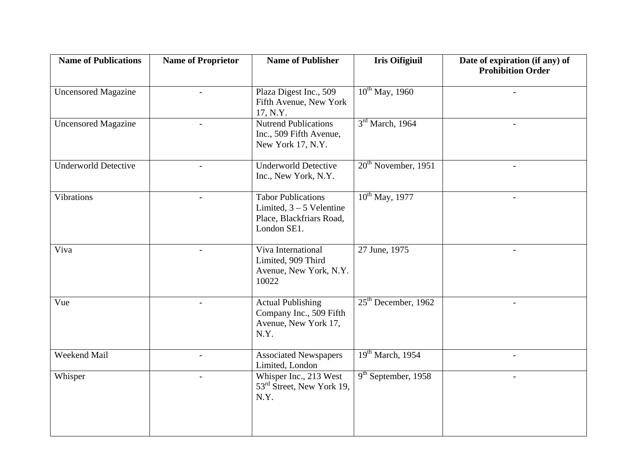| <b>Name of Publications</b> | <b>Name of Proprietor</b> | <b>Name of Publisher</b>                                                                           | <b>Iris Oifigiuil</b>        | Date of expiration (if any) of<br><b>Prohibition Order</b> |
|-----------------------------|---------------------------|----------------------------------------------------------------------------------------------------|------------------------------|------------------------------------------------------------|
| <b>Uncensored Magazine</b>  | $\overline{\phantom{a}}$  | Plaza Digest Inc., 509<br>Fifth Avenue, New York<br>17, N.Y.                                       | $10^{th}$ May, 1960          |                                                            |
| <b>Uncensored Magazine</b>  |                           | <b>Nutrend Publications</b><br>Inc., 509 Fifth Avenue,<br>New York 17, N.Y.                        | 3 <sup>rd</sup> March, 1964  |                                                            |
| <b>Underworld Detective</b> |                           | <b>Underworld Detective</b><br>Inc., New York, N.Y.                                                | $20th$ November, 1951        | $\overline{a}$                                             |
| <b>Vibrations</b>           |                           | <b>Tabor Publications</b><br>Limited, $3 - 5$ Velentine<br>Place, Blackfriars Road,<br>London SE1. | $10^{th}$ May, 1977          | $\overline{a}$                                             |
| Viva                        | $\overline{a}$            | Viva International<br>Limited, 909 Third<br>Avenue, New York, N.Y.<br>10022                        | 27 June, 1975                | $\blacksquare$                                             |
| Vue                         |                           | <b>Actual Publishing</b><br>Company Inc., 509 Fifth<br>Avenue, New York 17,<br>N.Y.                | $25th$ December, 1962        |                                                            |
| Weekend Mail                | $\overline{\phantom{a}}$  | <b>Associated Newspapers</b><br>Limited, London                                                    | 19 <sup>th</sup> March, 1954 | $\blacksquare$                                             |
| Whisper                     | $\blacksquare$            | Whisper Inc., 213 West<br>53 <sup>rd</sup> Street, New York 19,<br>N.Y.                            | $9th$ September, 1958        | $\sim$                                                     |